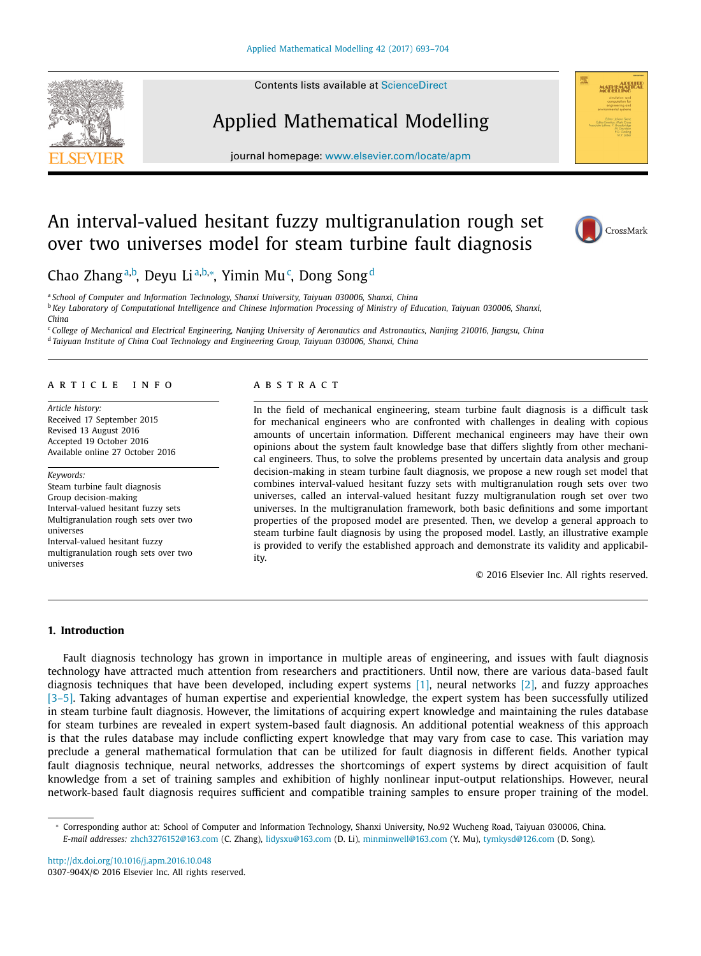Contents lists available at [ScienceDirect](http://www.ScienceDirect.com)



journal homepage: [www.elsevier.com/locate/apm](http://www.elsevier.com/locate/apm)



# An interval-valued hesitant fuzzy multigranulation rough set over two universes model for steam turbine fault diagnosis



Chao Zhang<sup>a,b</sup>, Deyu Li<sup>a,b,∗</sup>, Yimin Mu<sup>c</sup>, Dong Song<sup>d</sup>

<sup>a</sup> *School of Computer and Information Technology, Shanxi University, Taiyuan 030006, Shanxi, China* <sup>b</sup> Key Laboratory of Computational Intelligence and Chinese Information Processing of Ministry of Education, Taiyuan 030006, Shanxi, *China*

<sup>c</sup>College of Mechanical and Electrical Engineering, Nanjing University of Aeronautics and Astronautics, Nanjing 210016, Jiangsu, China <sup>d</sup> *Taiyuan Institute of China Coal Technology and Engineering Group, Taiyuan 030006, Shanxi, China*

#### a r t i c l e i n f o

*Article history:* Received 17 September 2015 Revised 13 August 2016 Accepted 19 October 2016 Available online 27 October 2016

*Keywords:* Steam turbine fault diagnosis Group decision-making Interval-valued hesitant fuzzy sets Multigranulation rough sets over two universes Interval-valued hesitant fuzzy multigranulation rough sets over two universes

# a b s t r a c t

In the field of mechanical engineering, steam turbine fault diagnosis is a difficult task for mechanical engineers who are confronted with challenges in dealing with copious amounts of uncertain information. Different mechanical engineers may have their own opinions about the system fault knowledge base that differs slightly from other mechanical engineers. Thus, to solve the problems presented by uncertain data analysis and group decision-making in steam turbine fault diagnosis, we propose a new rough set model that combines interval-valued hesitant fuzzy sets with multigranulation rough sets over two universes, called an interval-valued hesitant fuzzy multigranulation rough set over two universes. In the multigranulation framework, both basic definitions and some important properties of the proposed model are presented. Then, we develop a general approach to steam turbine fault diagnosis by using the proposed model. Lastly, an illustrative example is provided to verify the established approach and demonstrate its validity and applicability.

© 2016 Elsevier Inc. All rights reserved.

#### **1. Introduction**

Fault diagnosis technology has grown in importance in multiple areas of engineering, and issues with fault diagnosis technology have attracted much attention from researchers and practitioners. Until now, there are various data-based fault diagnosis techniques that have been developed, including expert systems [\[1\],](#page-11-0) neural networks [\[2\],](#page-11-0) and fuzzy approaches [\[3–5\].](#page-11-0) Taking advantages of human expertise and experiential knowledge, the expert system has been successfully utilized in steam turbine fault diagnosis. However, the limitations of acquiring expert knowledge and maintaining the rules database for steam turbines are revealed in expert system-based fault diagnosis. An additional potential weakness of this approach is that the rules database may include conflicting expert knowledge that may vary from case to case. This variation may preclude a general mathematical formulation that can be utilized for fault diagnosis in different fields. Another typical fault diagnosis technique, neural networks, addresses the shortcomings of expert systems by direct acquisition of fault knowledge from a set of training samples and exhibition of highly nonlinear input-output relationships. However, neural network-based fault diagnosis requires sufficient and compatible training samples to ensure proper training of the model.

<sup>∗</sup> Corresponding author at: School of Computer and Information Technology, Shanxi University, No.92 Wucheng Road, Taiyuan 030006, China. *E-mail addresses:* [zhch3276152@163.com](mailto:zhch3276152@163.com) (C. Zhang), [lidysxu@163.com](mailto:lidysxu@163.com) (D. Li), [minminwell@163.com](mailto:minminwell@163.com) (Y. Mu), [tymkysd@126.com](mailto:tymkysd@126.com) (D. Song).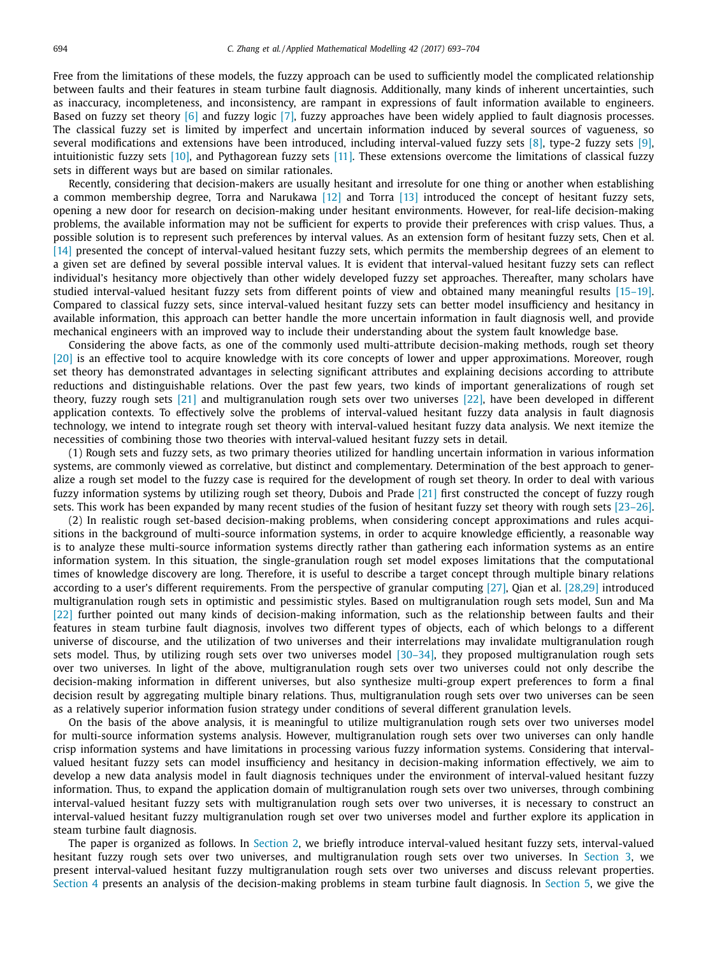Free from the limitations of these models, the fuzzy approach can be used to sufficiently model the complicated relationship between faults and their features in steam turbine fault diagnosis. Additionally, many kinds of inherent uncertainties, such as inaccuracy, incompleteness, and inconsistency, are rampant in expressions of fault information available to engineers. Based on fuzzy set theory [\[6\]](#page-11-0) and fuzzy logic [\[7\],](#page-11-0) fuzzy approaches have been widely applied to fault diagnosis processes. The classical fuzzy set is limited by imperfect and uncertain information induced by several sources of vagueness, so several modifications and extensions have been introduced, including interval-valued fuzzy sets [\[8\],](#page-11-0) type-2 fuzzy sets [\[9\],](#page-11-0) intuitionistic fuzzy sets [\[10\],](#page-11-0) and Pythagorean fuzzy sets [\[11\].](#page-11-0) These extensions overcome the limitations of classical fuzzy sets in different ways but are based on similar rationales.

Recently, considering that decision-makers are usually hesitant and irresolute for one thing or another when establishing a common membership degree, Torra and Narukawa [\[12\]](#page-11-0) and Torra [\[13\]](#page-11-0) introduced the concept of hesitant fuzzy sets, opening a new door for research on decision-making under hesitant environments. However, for real-life decision-making problems, the available information may not be sufficient for experts to provide their preferences with crisp values. Thus, a possible solution is to represent such preferences by interval values. As an extension form of hesitant fuzzy sets, Chen et al. [\[14\]](#page-11-0) presented the concept of interval-valued hesitant fuzzy sets, which permits the membership degrees of an element to a given set are defined by several possible interval values. It is evident that interval-valued hesitant fuzzy sets can reflect individual's hesitancy more objectively than other widely developed fuzzy set approaches. Thereafter, many scholars have studied interval-valued hesitant fuzzy sets from different points of view and obtained many meaningful results [\[15–19\].](#page-11-0) Compared to classical fuzzy sets, since interval-valued hesitant fuzzy sets can better model insufficiency and hesitancy in available information, this approach can better handle the more uncertain information in fault diagnosis well, and provide mechanical engineers with an improved way to include their understanding about the system fault knowledge base.

Considering the above facts, as one of the commonly used multi-attribute decision-making methods, rough set theory [\[20\]](#page-11-0) is an effective tool to acquire knowledge with its core concepts of lower and upper approximations. Moreover, rough set theory has demonstrated advantages in selecting significant attributes and explaining decisions according to attribute reductions and distinguishable relations. Over the past few years, two kinds of important generalizations of rough set theory, fuzzy rough sets [\[21\]](#page-11-0) and multigranulation rough sets over two universes [\[22\],](#page-11-0) have been developed in different application contexts. To effectively solve the problems of interval-valued hesitant fuzzy data analysis in fault diagnosis technology, we intend to integrate rough set theory with interval-valued hesitant fuzzy data analysis. We next itemize the necessities of combining those two theories with interval-valued hesitant fuzzy sets in detail.

(1) Rough sets and fuzzy sets, as two primary theories utilized for handling uncertain information in various information systems, are commonly viewed as correlative, but distinct and complementary. Determination of the best approach to generalize a rough set model to the fuzzy case is required for the development of rough set theory. In order to deal with various fuzzy information systems by utilizing rough set theory, Dubois and Prade [\[21\]](#page-11-0) first constructed the concept of fuzzy rough sets. This work has been expanded by many recent studies of the fusion of hesitant fuzzy set theory with rough sets [\[23–26\].](#page-11-0)

(2) In realistic rough set-based decision-making problems, when considering concept approximations and rules acquisitions in the background of multi-source information systems, in order to acquire knowledge efficiently, a reasonable way is to analyze these multi-source information systems directly rather than gathering each information systems as an entire information system. In this situation, the single-granulation rough set model exposes limitations that the computational times of knowledge discovery are long. Therefore, it is useful to describe a target concept through multiple binary relations according to a user's different requirements. From the perspective of granular computing [\[27\],](#page-11-0) Qian et al. [\[28,29\]](#page-11-0) introduced multigranulation rough sets in optimistic and pessimistic styles. Based on multigranulation rough sets model, Sun and Ma [\[22\]](#page-11-0) further pointed out many kinds of decision-making information, such as the relationship between faults and their features in steam turbine fault diagnosis, involves two different types of objects, each of which belongs to a different universe of discourse, and the utilization of two universes and their interrelations may invalidate multigranulation rough sets model. Thus, by utilizing rough sets over two universes model  $[30-34]$ , they proposed multigranulation rough sets over two universes. In light of the above, multigranulation rough sets over two universes could not only describe the decision-making information in different universes, but also synthesize multi-group expert preferences to form a final decision result by aggregating multiple binary relations. Thus, multigranulation rough sets over two universes can be seen as a relatively superior information fusion strategy under conditions of several different granulation levels.

On the basis of the above analysis, it is meaningful to utilize multigranulation rough sets over two universes model for multi-source information systems analysis. However, multigranulation rough sets over two universes can only handle crisp information systems and have limitations in processing various fuzzy information systems. Considering that intervalvalued hesitant fuzzy sets can model insufficiency and hesitancy in decision-making information effectively, we aim to develop a new data analysis model in fault diagnosis techniques under the environment of interval-valued hesitant fuzzy information. Thus, to expand the application domain of multigranulation rough sets over two universes, through combining interval-valued hesitant fuzzy sets with multigranulation rough sets over two universes, it is necessary to construct an interval-valued hesitant fuzzy multigranulation rough set over two universes model and further explore its application in steam turbine fault diagnosis.

The paper is organized as follows. In [Section](#page-2-0) 2, we briefly introduce interval-valued hesitant fuzzy sets, interval-valued hesitant fuzzy rough sets over two universes, and multigranulation rough sets over two universes. In [Section](#page-4-0) 3, we present interval-valued hesitant fuzzy multigranulation rough sets over two universes and discuss relevant properties. [Section](#page-6-0) 4 presents an analysis of the decision-making problems in steam turbine fault diagnosis. In [Section](#page-8-0) 5, we give the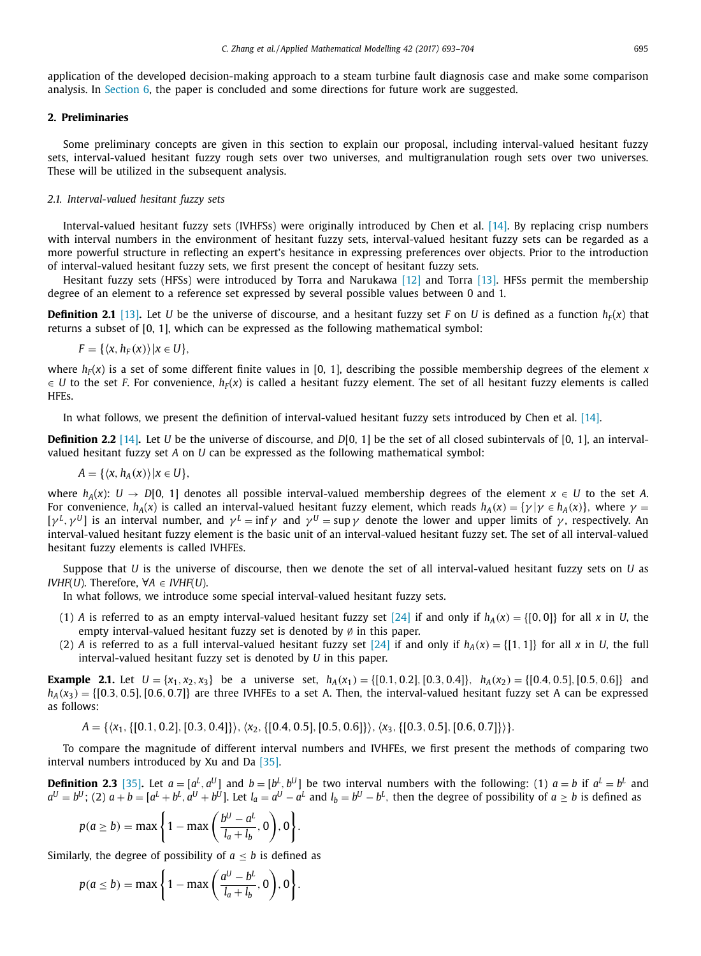<span id="page-2-0"></span>application of the developed decision-making approach to a steam turbine fault diagnosis case and make some comparison analysis. In [Section](#page-10-0) 6, the paper is concluded and some directions for future work are suggested.

# **2. Preliminaries**

Some preliminary concepts are given in this section to explain our proposal, including interval-valued hesitant fuzzy sets, interval-valued hesitant fuzzy rough sets over two universes, and multigranulation rough sets over two universes. These will be utilized in the subsequent analysis.

# *2.1. Interval-valued hesitant fuzzy sets*

Interval-valued hesitant fuzzy sets (IVHFSs) were originally introduced by Chen et al. [\[14\].](#page-11-0) By replacing crisp numbers with interval numbers in the environment of hesitant fuzzy sets, interval-valued hesitant fuzzy sets can be regarded as a more powerful structure in reflecting an expert's hesitance in expressing preferences over objects. Prior to the introduction of interval-valued hesitant fuzzy sets, we first present the concept of hesitant fuzzy sets.

Hesitant fuzzy sets (HFSs) were introduced by Torra and Narukawa [\[12\]](#page-11-0) and Torra [\[13\].](#page-11-0) HFSs permit the membership degree of an element to a reference set expressed by several possible values between 0 and 1.

**Definition 2.1** [\[13\]](#page-11-0). Let *U* be the universe of discourse, and a hesitant fuzzy set *F* on *U* is defined as a function  $h_F(x)$  that returns a subset of [0, 1], which can be expressed as the following mathematical symbol:

$$
F = \{ \langle x, h_F(x) \rangle | x \in U \},\
$$

where  $h_F(x)$  is a set of some different finite values in [0, 1], describing the possible membership degrees of the element *x*  $\in U$  to the set *F*. For convenience,  $h_F(x)$  is called a hesitant fuzzy element. The set of all hesitant fuzzy elements is called HFEs.

In what follows, we present the definition of interval-valued hesitant fuzzy sets introduced by Chen et al. [\[14\].](#page-11-0)

**Definition 2.2** [\[14\]](#page-11-0)**.** Let *U* be the universe of discourse, and *D*[0, 1] be the set of all closed subintervals of [0, 1], an intervalvalued hesitant fuzzy set *A* on *U* can be expressed as the following mathematical symbol:

$$
A = \{ \langle x, h_A(x) \rangle | x \in U \},
$$

where  $h_A(x)$ :  $U \rightarrow D[0, 1]$  denotes all possible interval-valued membership degrees of the element  $x \in U$  to the set *A*. For convenience,  $h_A(x)$  is called an interval-valued hesitant fuzzy element, which reads  $h_A(x) = \{ \gamma | \gamma \in h_A(x) \}$ , where  $\gamma =$  $[\gamma^L, \gamma^U]$  is an interval number, and  $\gamma^L = \inf \gamma$  and  $\gamma^U = \sup \gamma$  denote the lower and upper limits of  $\gamma$ , respectively. An interval-valued hesitant fuzzy element is the basic unit of an interval-valued hesitant fuzzy set. The set of all interval-valued hesitant fuzzy elements is called IVHFEs.

Suppose that *U* is the universe of discourse, then we denote the set of all interval-valued hesitant fuzzy sets on *U* as *IVHF*(*U*). Therefore,  $\forall A \in IVHF(U)$ .

In what follows, we introduce some special interval-valued hesitant fuzzy sets.

- (1) *A* is referred to as an empty interval-valued hesitant fuzzy set [\[24\]](#page-11-0) if and only if  $h_A(x) = \{[0, 0]\}$  for all *x* in *U*, the empty interval-valued hesitant fuzzy set is denoted by  $\emptyset$  in this paper.
- (2) *A* is referred to as a full interval-valued hesitant fuzzy set [\[24\]](#page-11-0) if and only if  $h_A(x) = \{[1, 1]\}$  for all *x* in *U*, the full interval-valued hesitant fuzzy set is denoted by *U* in this paper.

**Example** 2.1. Let  $U = \{x_1, x_2, x_3\}$  be a universe set,  $h_A(x_1) = \{[0.1, 0.2], [0.3, 0.4]\}, h_A(x_2) = \{[0.4, 0.5], [0.5, 0.6]\}$  and  $h_A(x_3) = \{[0.3, 0.5], [0.6, 0.7]\}$  are three IVHFEs to a set A. Then, the interval-valued hesitant fuzzy set A can be expressed as follows:

 $A = \{ \langle x_1, \{ [0.1, 0.2], [0.3, 0.4] \} \rangle, \langle x_2, \{ [0.4, 0.5], [0.5, 0.6] \} \rangle, \langle x_3, \{ [0.3, 0.5], [0.6, 0.7] \} \rangle \}.$ 

To compare the magnitude of different interval numbers and IVHFEs, we first present the methods of comparing two interval numbers introduced by Xu and Da [\[35\].](#page-11-0)

**Definition 2.3** [\[35\]](#page-11-0). Let  $a = [a^L, a^U]$  and  $b = [b^L, b^U]$  be two interval numbers with the following: (1)  $a = b$  if  $a^L = b^L$  and  $a^U = b^U$ ; (2)  $a + b = [a^L + b^L, a^U + b^U]$ . Let  $l_a = a^U - a^L$  and  $l_b = b^U - b^L$ , then the degree of possibility of  $a \ge b$  is defined as

$$
p(a \ge b) = \max\left\{1 - \max\left(\frac{b^U - a^L}{l_a + l_b}, 0\right), 0\right\}.
$$

Similarly, the degree of possibility of  $a \leq b$  is defined as

$$
p(a \le b) = \max\left\{1 - \max\left(\frac{a^U - b^L}{l_a + l_b}, 0\right), 0\right\}.
$$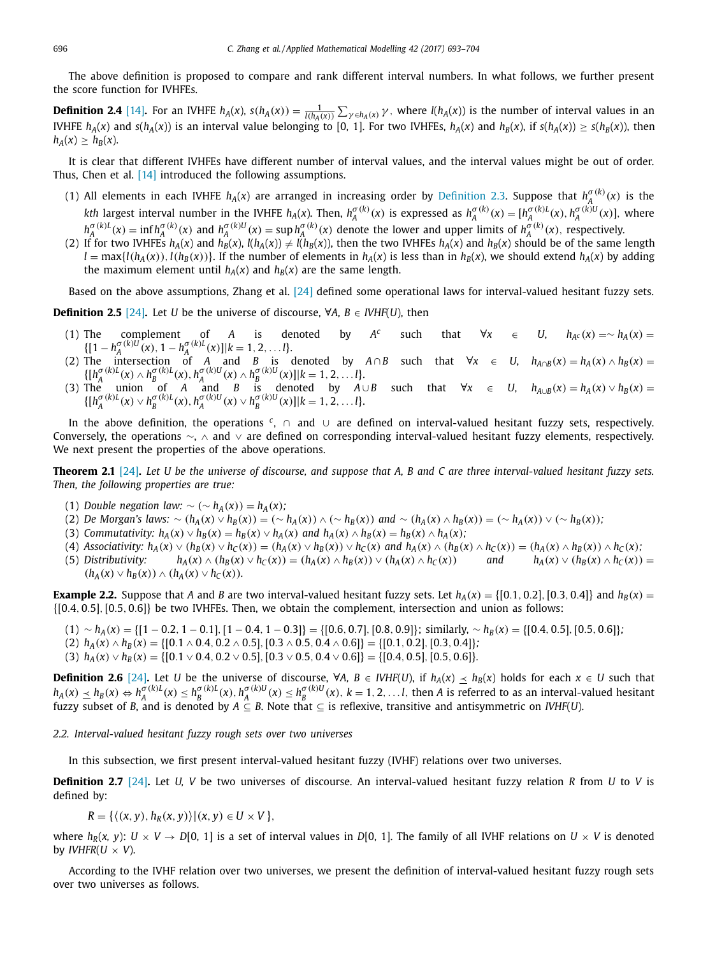<span id="page-3-0"></span>The above definition is proposed to compare and rank different interval numbers. In what follows, we further present the score function for IVHFEs.

**Definition 2.4** [\[14\]](#page-11-0). For an IVHFE  $h_A(x)$ ,  $s(h_A(x)) = \frac{1}{l(h_A(x))} \sum_{\gamma \in h_A(x)} \gamma$ , where  $l(h_A(x))$  is the number of interval values in an IVHFE  $h_A(x)$  and  $s(h_A(x))$  is an interval value belonging to [0, 1]. For two IVHFEs,  $h_A(x)$  and  $h_B(x)$ , if  $s(h_A(x)) \ge s(h_B(x))$ , then  $h_A(x) > h_B(x)$ .

It is clear that different IVHFEs have different number of interval values, and the interval values might be out of order. Thus, Chen et al. [\[14\]](#page-11-0) introduced the following assumptions.

- (1) All elements in each IVHFE  $h_A(x)$  are arranged in increasing order by [Definition](#page-2-0) 2.3. Suppose that  $h_A^{\sigma(k)}(x)$  is the kth largest interval number in the IVHFE  $h_A(x)$ . Then,  $h_A^{\sigma(k)}(x)$  is expressed as  $h_A^{\sigma(k)}(x) = [h_A^{\sigma(k)L}(x), h_A^{\sigma(k)U}(x)]$ , where  $h^{\sigma(k)L}_A(x) = \inf h^{\sigma(k)}_A(x)$  and  $h^{\sigma(k)U}_A(x) = \sup h^{\sigma(k)}_A(x)$  denote the lower and upper limits of  $h^{\sigma(k)}_A(x)$ , respectively.
- (2) If for two IVHFEs  $h_A(x)$  and  $h_B(x)$ ,  $l(h_A(x)) \neq l(h_B(x))$ , then the two IVHFEs  $h_A(x)$  and  $h_B(x)$  should be of the same length  $l = \max\{l(h_A(x)), l(h_B(x))\}$ . If the number of elements in  $h_A(x)$  is less than in  $h_B(x)$ , we should extend  $h_A(x)$  by adding the maximum element until  $h_A(x)$  and  $h_B(x)$  are the same length.

Based on the above assumptions, Zhang et al. [\[24\]](#page-11-0) defined some operational laws for interval-valued hesitant fuzzy sets.

**Definition 2.5** [\[24\]](#page-11-0). Let *U* be the universe of discourse,  $\forall A, B \in I V HF(U)$ , then

- (1) The complement of *A* is denoted by *A<sup>c</sup>* such that  $\forall x \in U$ ,  $h_{A^c}(x) = \sim h_A(x)$  $\{[1 - h_A^{\sigma(k)U}(\mathbf{x}), 1 - h_A^{\sigma(k)U}(\mathbf{x})]|k = 1, 2, \dots, l\}.$
- (2) The intersection of *A* and *B* is denoted by  $A \cap B$  such that  $\forall x \in U$ ,  $h_{A \cap B}(x) = h_A(x) \wedge h_B(x) =$  $\{[h_A^{\sigma(k)L}(x) \wedge h_B^{\sigma(k)L}(x), h_A^{\sigma(k)U}(x) \wedge h_B^{\sigma(k)U}(x)]|k=1,2,...l\}.$
- (3) The union of *A* and *B* is denoted by  $A \cup B$  such that  $\forall x \in U$ ,  $h_{A \cup B}(x) = h_A(x) \vee h_B(x) =$  $\{[h_A^{\sigma(k)L}(x) \vee h_B^{\sigma(k)L}(x), h_A^{\sigma(k)U}(x) \vee h_B^{\sigma(k)U}(x)]|k=1,2,...l\}.$

In the above definition, the operations *<sup>c</sup>*, ∩ and ∪ are defined on interval-valued hesitant fuzzy sets, respectively. Conversely, the operations ∼, ∧ and ∨ are defined on corresponding interval-valued hesitant fuzzy elements, respectively. We next present the properties of the above operations.

**Theorem 2.1** [\[24\]](#page-11-0). Let U be the universe of discourse, and suppose that A, B and C are three interval-valued hesitant fuzzy sets. *Then, the following properties are true:*

- (1) *Double negation law:*  $\sim (\sim h_A(x)) = h_A(x)$ ;
- (2) De Morgan's laws:  $\sim (h_A(x) \vee h_B(x)) = (\sim h_A(x)) \wedge (\sim h_B(x))$  and  $\sim (h_A(x) \wedge h_B(x)) = (\sim h_A(x)) \vee (\sim h_B(x))$ ;
- (3) *Commutativity:*  $h_A(x) \vee h_B(x) = h_B(x) \vee h_A(x)$  and  $h_A(x) \wedge h_B(x) = h_B(x) \wedge h_A(x)$ ;
- (4) Associativity:  $h_A(x) \vee (h_B(x) \vee h_C(x)) = (h_A(x) \vee h_B(x)) \vee h_C(x)$  and  $h_A(x) \wedge (h_B(x) \wedge h_C(x)) = (h_A(x) \wedge h_B(x)) \wedge h_C(x)$ ;
- (5) Distributivity:  $h_A(x) \wedge (h_B(x) \vee h_C(x)) = (h_A(x) \wedge h_B(x)) \vee (h_A(x) \wedge h_C(x))$  and  $h_A(x) \vee (h_B(x) \wedge h_C(x)) =$  $(h_A(x) \vee h_B(x)) \wedge (h_A(x) \vee h_C(x)).$

**Example 2.2.** Suppose that *A* and *B* are two interval-valued hesitant fuzzy sets. Let  $h_A(x) = \{[0.1, 0.2], [0.3, 0.4]\}$  and  $h_B(x) =$ {[0.4, 0.5],[0.5, 0.6]} be two IVHFEs. Then, we obtain the complement, intersection and union as follows:

- $(1) \sim h_A(x) = \{ [1 0.2, 1 0.1], [1 0.4, 1 0.3] \} = \{ [0.6, 0.7], [0.8, 0.9] \}$ ; similarly, ∼  $h_B(x) = \{ [0.4, 0.5], [0.5, 0.6] \}$ *;*
- $h_A(x) \wedge h_B(x) = \{[0.1 \wedge 0.4, 0.2 \wedge 0.5], [0.3 \wedge 0.5, 0.4 \wedge 0.6]\} = \{[0.1, 0.2], [0.3, 0.4]\};$
- $(3)$   $h_A(x) \vee h_B(x) = \{[0.1 \vee 0.4, 0.2 \vee 0.5], [0.3 \vee 0.5, 0.4 \vee 0.6]\} = \{[0.4, 0.5], [0.5, 0.6]\}.$

**Definition 2.6** [\[24\]](#page-11-0). Let *U* be the universe of discourse,  $\forall A, B \in IVHF(U)$ , if  $h_A(x) \leq h_B(x)$  holds for each  $x \in U$  such that  $h_A(x) \leq h_B(x) \Leftrightarrow h_A^{\sigma(k)L}(x) \leq h_B^{\sigma(k)L}(x)$ ,  $h_A^{\sigma(k)U}(x) \leq h_B^{\sigma(k)U}(x)$ ,  $k = 1, 2, ...l$ , then A is referred to as an interval-valued hesitant fuzzy subset of B, and is denoted by  $A \subseteq B$ . Note that  $\subseteq$  is reflexive, transiti

*2.2. Interval-valued hesitant fuzzy rough sets over two universes*

In this subsection, we first present interval-valued hesitant fuzzy (IVHF) relations over two universes.

**Definition 2.7** [\[24\]](#page-11-0)**.** Let *U, V* be two universes of discourse. An interval-valued hesitant fuzzy relation *R* from *U* to *V* is defined by:

$$
R = \{ \langle (x, y), h_R(x, y) \rangle | (x, y) \in U \times V \},\
$$

where  $h_R(x, y)$ :  $U \times V \rightarrow D[0, 1]$  is a set of interval values in  $D[0, 1]$ . The family of all IVHF relations on  $U \times V$  is denoted by *IVHFR*( $U \times V$ ).

According to the IVHF relation over two universes, we present the definition of interval-valued hesitant fuzzy rough sets over two universes as follows.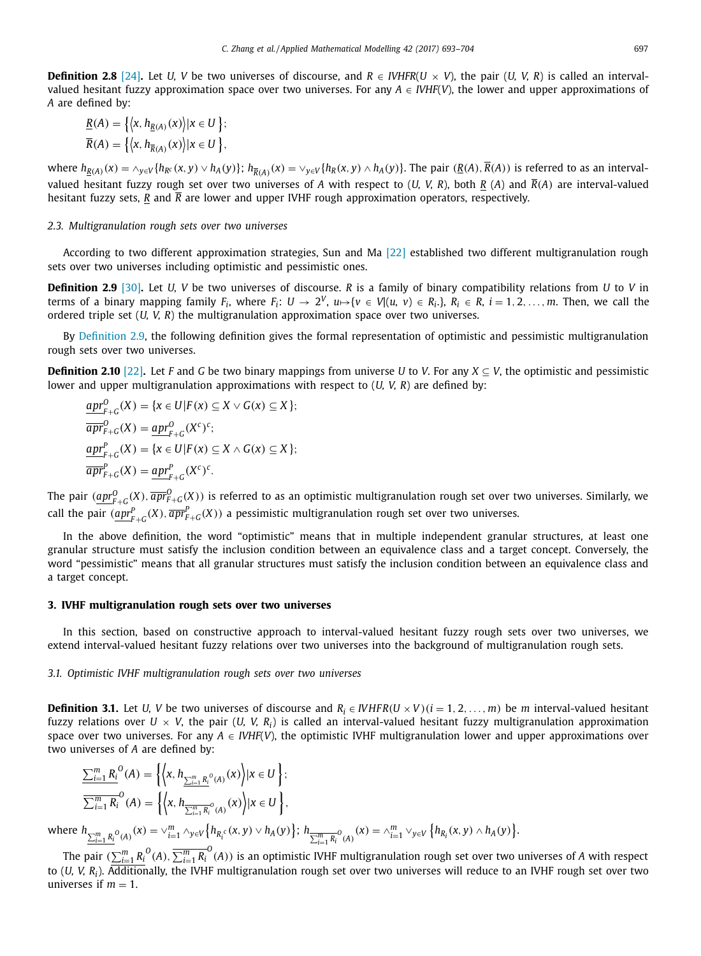<span id="page-4-0"></span>**Definition 2.8** [\[24\]](#page-11-0). Let *U, V* be two universes of discourse, and  $R \in IVIFF(U \times V)$ , the pair (*U, V, R*) is called an intervalvalued hesitant fuzzy approximation space over two universes. For any  $A \in IVHF(V)$ , the lower and upper approximations of *A* are defined by:

$$
\underline{R}(A) = \left\{ \langle x, h_{\underline{R}(A)}(x) \rangle | x \in U \right\};
$$
  

$$
\overline{R}(A) = \left\{ \langle x, h_{\overline{R}(A)}(x) \rangle | x \in U \right\},\
$$

where  $h_{R(A)}(x) = \wedge_{y \in V} \{h_{R}(x, y) \vee h_A(y)\};$   $h_{\overline{R}(A)}(x) = \vee_{y \in V} \{h_R(x, y) \wedge h_A(y)\}.$  The pair  $(\underline{R}(A), \overline{R}(A))$  is referred to as an intervalvalued hesitant fuzzy rough set over two universes of *A* with respect to (*U, V, R*), both *R* (*A*) and  $\overline{R}(A)$  are interval-valued hesitant fuzzy sets, *R* and *R* are lower and upper IVHF rough approximation operators, respectively.

# *2.3. Multigranulation rough sets over two universes*

According to two different approximation strategies, Sun and Ma [\[22\]](#page-11-0) established two different multigranulation rough sets over two universes including optimistic and pessimistic ones.

**Definition 2.9** [\[30\]](#page-11-0)**.** Let *U, V* be two universes of discourse. *R* is a family of binary compatibility relations from *U* to *V* in terms of a binary mapping family  $F_i$ , where  $F_i$ :  $U \to 2^V$ ,  $u \mapsto \{v \in V | (u, v) \in R_i\}$ ,  $R_i \in R$ ,  $i = 1, 2, \ldots, m$ . Then, we call the ordered triple set (*U, V, R*) the multigranulation approximation space over two universes.

By Definition 2.9, the following definition gives the formal representation of optimistic and pessimistic multigranulation rough sets over two universes.

**Definition 2.10** [\[22\]](#page-11-0)**.** Let *F* and *G* be two binary mappings from universe *U* to *V*. For any *X* ⊆ *V*, the optimistic and pessimistic lower and upper multigranulation approximations with respect to (*U, V, R*) are defined by:

$$
\underline{apr}_{F+G}^{P}(X) = \{x \in U | F(x) \subseteq X \vee G(x) \subseteq X \};
$$
\n
$$
\overline{apr}_{F+G}^{O}(X) = \underline{apr}_{F+G}^{O}(X^{c})^{c};
$$
\n
$$
\underline{apr}_{F+G}^{P}(X) = \{x \in U | F(x) \subseteq X \wedge G(x) \subseteq X \};
$$
\n
$$
\overline{apr}_{F+G}^{P}(X) = \underline{apr}_{F+G}^{P}(X^{c})^{c}.
$$

The pair  $(\underbrace{apr^0_{F+G}}(X),\overline{apr^0_{F+G}}(X))$  is referred to as an optimistic multigranulation rough set over two universes. Similarly, we call the pair  $(\underbrace{apr_{F+G}^p}(X), \overline{apr_{F+G}^p}(X))$  a pessimistic multigranulation rough set over two universes.

In the above definition, the word "optimistic" means that in multiple independent granular structures, at least one granular structure must satisfy the inclusion condition between an equivalence class and a target concept. Conversely, the word "pessimistic" means that all granular structures must satisfy the inclusion condition between an equivalence class and a target concept.

#### **3. IVHF multigranulation rough sets over two universes**

In this section, based on constructive approach to interval-valued hesitant fuzzy rough sets over two universes, we extend interval-valued hesitant fuzzy relations over two universes into the background of multigranulation rough sets.

### *3.1. Optimistic IVHF multigranulation rough sets over two universes*

**Definition 3.1.** Let *U, V* be two universes of discourse and  $R_i \in IVHFR(U \times V)(i = 1, 2, ..., m)$  be *m* interval-valued hesitant fuzzy relations over  $U \times V$ , the pair (*U*, *V*, *R<sub>i</sub>*) is called an interval-valued hesitant fuzzy multigranulation approximation space over two universes. For any  $A \in IVHF(V)$ , the optimistic IVHF multigranulation lower and upper approximations over two universes of *A* are defined by:

$$
\frac{\sum_{i=1}^{m} R_i^{\,0}(A) = \left\{ \left\langle x, h_{\sum_{i=1}^{m} R_i^{\,0}(A)}(x) \right\rangle | x \in U \right\};
$$
\n
$$
\overline{\sum_{i=1}^{m} R_i^{\,0}}(A) = \left\{ \left\langle x, h_{\sum_{i=1}^{m} R_i^{\,0}(A)}(x) \right\rangle | x \in U \right\},
$$

where  $h_{\sum_{i=1}^{m} R_i^0(A)}(x) = \vee_{i=1}^{m} \wedge_{y \in V} \left\{ h_{R_i^c}(x, y) \vee h_A(y) \right\}; h_{\sum_{i=1}^{m} R_i^0(A)}(x) = \wedge_{i=1}^{m} \vee_{y \in V} \left\{ h_{R_i}(x, y) \wedge h_A(y) \right\}.$ 

The pair  $(\sum_{i=1}^mR_i^O(A),\overline{\sum_{i=1}^mR_i}^O(A))$  is an optimistic IVHF multigranulation rough set over two universes of *A* with respect to (*U, V, Ri*). Additionally, the IVHF multigranulation rough set over two universes will reduce to an IVHF rough set over two universes if  $m = 1$ .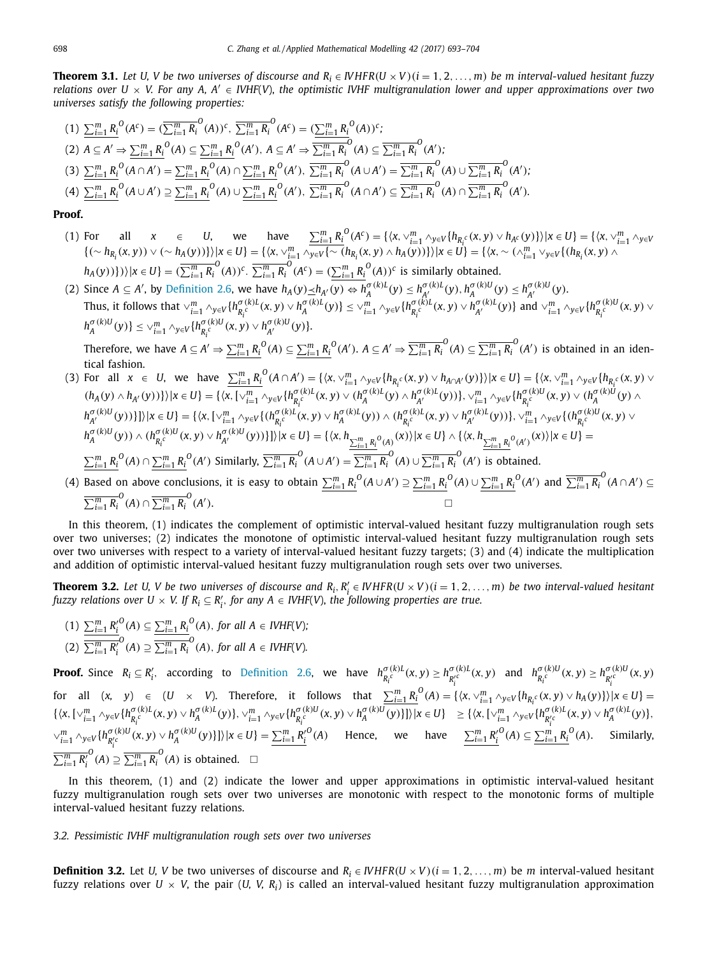<span id="page-5-0"></span>**Theorem 3.1.** Let U, V be two universes of discourse and  $R_i \in WHFR(U \times V)(i = 1, 2, ..., m)$  be m interval-valued hesitant fuzzy relations over U  $\times$  V. For any A, A'  $\in$  IVHF(V), the optimistic IVHF multigranulation lower and upper approximations over two *universes satisfy the following properties:*

$$
(1) \sum_{i=1}^{m} R_{i}^{O}(A^{c}) = (\overline{\sum_{i=1}^{m} R_{i}}^{O}(A))^{c}, \overline{\sum_{i=1}^{m} R_{i}}^{O}(A^{c}) = (\underline{\sum_{i=1}^{m} R_{i}}^{O}(A))^{c};
$$
\n
$$
(2) A \subseteq A' \Rightarrow \underline{\sum_{i=1}^{m} R_{i}}^{O}(A) \subseteq \underline{\sum_{i=1}^{m} R_{i}}^{O}(A'), A \subseteq A' \Rightarrow \overline{\sum_{i=1}^{m} R_{i}}^{O}(A) \subseteq \overline{\sum_{i=1}^{m} R_{i}}^{O}(A');
$$
\n
$$
(3) \sum_{i=1}^{m} R_{i}^{O}(A \cap A') = \underline{\sum_{i=1}^{m} R_{i}}^{O}(A) \cap \underline{\sum_{i=1}^{m} R_{i}}^{O}(A'), \overline{\sum_{i=1}^{m} R_{i}}^{O}(A \cup A') = \overline{\sum_{i=1}^{m} R_{i}}^{O}(A) \cup \overline{\sum_{i=1}^{m} R_{i}}^{O}(A'),
$$
\n
$$
(4) \sum_{i=1}^{m} R_{i}^{O}(A \cup A') \supseteq \underline{\sum_{i=1}^{m} R_{i}}^{O}(A) \cup \underline{\sum_{i=1}^{m} R_{i}}^{O}(A'), \overline{\sum_{i=1}^{m} R_{i}}^{O}(A \cap A') \subseteq \overline{\sum_{i=1}^{m} R_{i}}^{O}(A) \cap \overline{\sum_{i=1}^{m} R_{i}}^{O}(A').
$$

### **Proof.**

- (1) For all  $x \in U$ , we have  $\sum_{i=1}^{m} R_i^O(A^c) = \{ \langle x, \vee_{i=1}^{m} \wedge_{y \in V} \{ h_{R_i^c}(x, y) \vee h_{A^c}(y) \} \rangle | x \in U \} = \{ \langle x, \vee_{i=1}^{m} \wedge_{y \in V} \{ h_{R_i^c}(x, y) \vee h_{A^c}(y) \} \rangle | x \in U \}$  $\{(\sim h_{R_i}(x,y)) \vee (\sim h_A(y))\}\|x \in U\} = \{\langle x, \vee_{i=1}^m \wedge_{y \in V} \{\sim (h_{R_i}(x,y) \wedge h_A(y))\}\rangle | x \in U\} = \{\langle x, \sim (\wedge_{i=1}^m \vee_{y \in V} \{(h_{R_i}(x,y) \wedge h_A(y))\}\rangle | x \in U\} \cup \{h_{R_i}(x,y) \wedge h_A(y)\}$  $\langle h_A(y))\} \rangle \rangle \langle x \in U \} = (\overline{\sum_{i=1}^m R_i}^O(A))^c$ .  $\overline{\sum_{i=1}^m R_i}^O(A^c) = (\underline{\sum_{i=1}^m R_i}^O(A))^c$  is similarly obtained.
- (2) Since  $A \subseteq A'$ , by [Definition](#page-3-0) 2.6, we have  $h_A(y) \le h_{A'}(y) \Leftrightarrow h_A^{\sigma(k)L}(y) \le h_{A'}^{\sigma(k)L}(y)$ ,  $h_A^{\sigma(k)U}(y) \le h_{A'}^{\sigma(k)U}(y)$ . Thus, it follows that  $\vee_{i=1}^{m}\wedge_{y\in V}\{\mathcal{h}^{\sigma(k)l}_{R_{i}^{c}}(x,y)\vee\mathcal{h}^{\sigma(k)l}_{A}(y)\}\leq\vee_{i=1}^{m}\wedge_{y\in V}\{\mathcal{h}^{\sigma(k)l}_{R_{i}^{c}}(x,y)\vee\mathcal{h}^{\sigma(k)l}_{A'}(y)\}\$  and  $\vee_{i=1}^{m}\wedge_{y\in V}\{\mathcal{h}^{\sigma(k)U}_{R_{i}^{c}}(x,y)\vee\mathcal{h}^{\sigma(k)l}_{R_{i}$  $h_A^{\sigma(k)U}(y)$ }  $\leq \vee_{i=1}^m \wedge_{y \in V} \{h_{R_i}^{\sigma(k)U}(x, y) \vee h_{A_i}^{\sigma(k)U}(y)\}.$ *Ri*

Therefore, we have  $A\subseteq A'\Rightarrow \sum_{i=1}^mR_i^{\ O}(A)\subseteq \sum_{i=1}^mR_i^{\ O}(A').$   $A\subseteq A'\Rightarrow \overline{\sum_{i=1}^mR_i}^O(A)\subseteq \overline{\sum_{i=1}^mR_i}^O(A')$  is obtained in an identical fashion.

(3) For all  $x \in U$ , we have  $\sum_{i=1}^{m} R_i^0(A \cap A') = \{ \langle x, \vee_{i=1}^{m} \wedge_{y \in V} \{ h_{R_i^c}(x, y) \vee h_{A \cap A'}(y) \} \rangle | x \in U \} = \{ \langle x, \vee_{i=1}^{m} \wedge_{y \in V} \{ h_{R_i^c}(x, y) \vee h_{R_i^c}(y) \} \rangle | x \in U \}$  $(h_A(y) \wedge h_{A'}(y))\}\|x \in U\} = \{\langle x, [\vee_{i=1}^m \wedge_{y \in V} \{h_{R_i^c}^{\sigma(k)L}(x, y) \vee (h_A^{\sigma(k)L}(y) \wedge h_{A'}^{\sigma(k)L}(y))\}, \vee_{i=1}^m \wedge_{y \in V} \{h_{R_i^c}^{\sigma(k)U}(x, y) \vee (h_A^{\sigma(k)U}(y) \wedge h_{A'}^{\sigma(k)U}(y))\} \rangle\}$  $\langle h_{A'}^{\sigma(k)U}(y)\rangle\}\rangle\vert x\in U\}=\{\langle x,[\vee_{i=1}^{m}\wedge_{y\in V}\{(h_{R_{i}}^{\sigma(k)U}(x,y)\vee h_{A}^{\sigma(k)U}(y))\wedge(h_{R_{i}}^{\sigma(k)U}(x,y)\vee h_{A'}^{\sigma(k)U}(y))\},\vee_{i=1}^{m}\wedge_{y\in V}\{(h_{R_{i}}^{\sigma(k)U}(x,y)\vee h_{A'}^{\sigma(k)U}(y))\}\rangle\}$  $h_A^{\sigma(k)U}(y)) \wedge (h_{R_i^c}^{\sigma(k)U}(x, y) \vee h_{A'}^{\sigma(k)U}(y))] \geq \{ \langle x, h_{\sum_{i=1}^m R_i^o(A)}(x) \rangle | x \in U \} = \{ \langle x, h_{\sum_{i=1}^m R_i^o(A)}(x) \rangle | x \in U \} \wedge \{ \langle x, h_{\sum_{i=1}^m R_i^o(A')}(x) \rangle | x \in U \} =$  $\sum_{i=1}^{m} R_i^{\ O}(A) \cap \sum_{i=1}^{m} R_i^{\ O}(A')$  Similarly,  $\overline{\sum_{i=1}^{m} R_i}^O(A \cup A') = \overline{\sum_{i=1}^{m} R_i}^O(A) \cup \overline{\sum_{i=1}^{m} R_i}^O(A')$  is obtained. (4) Based on above conclusions, it is easy to obtain  $\sum_{i=1}^m R_i^{\,\,0}(A\cup A')\supseteq \sum_{i=1}^m R_i^{\,\,0}(A)\cup \sum_{i=1}^m R_i^{\,\,0}(A')$  and  $\overline{\sum_{i=1}^m R_i^{\,\,0}}(A\cap A')\subseteq$ 

 $\sum_{i=1}^{m} R_i^{\{O\}}(A) \cap \overline{\sum_{i=1}^{m} R_i^{\{O\}}(A)}$  $\Box$ 

In this theorem, (1) indicates the complement of optimistic interval-valued hesitant fuzzy multigranulation rough sets over two universes; (2) indicates the monotone of optimistic interval-valued hesitant fuzzy multigranulation rough sets over two universes with respect to a variety of interval-valued hesitant fuzzy targets; (3) and (4) indicate the multiplication and addition of optimistic interval-valued hesitant fuzzy multigranulation rough sets over two universes.

**Theorem 3.2.** Let U, V be two universes of discourse and  $R_i, R'_i \in \text{NHFR}(U \times V)$  ( $i = 1, 2, ..., m$ ) be two interval-valued hesitant fuzzy relations over  $U \times V$ . If  $R_i \subseteq R'_i$ , for any  $A \in I\!V\!H\!F(V)$ , the following properties are true.

 $(1)$   $\sum_{i=1}^{m} R_i^{O}(A) \subseteq \sum_{i=1}^{m} R_i^{O}(A)$ , for all  $A \in IVHF(V)$ ; (2)  $\sum_{i=1}^{m} R'_i$  $O$ <sup>*O*</sup>(*A*)  $\supseteq \frac{m}{\sum_{i=1}^{m} R_i}$ <sup>*O*</sup>(*A*), *for all*  $A \in IVHF(V)$ *.* 

**Proof.** Since  $R_i \subseteq R'_i$ , according to [Definition](#page-3-0) 2.6, we have  $h_{R_i^c}^{\sigma(k)L}(x, y) \ge h_{R_i^c}^{\sigma(k)L}(x, y)$  and  $h_{R_i^c}^{\sigma(k)L}(x, y) \ge h_{R_i^c}^{\sigma(k)L}(x, y)$ for all  $(x, y) \in (U \times V)$ . Therefore, it follows that  $\sum_{i=1}^{m} R_i^O(A) = \{ \langle x, \vee_{i=1}^{m} \wedge_{y \in V} \{ h_{R_i}c(x, y) \vee h_A(y) \} \rangle | x \in U \} =$ {*x*,[∨*<sup>m</sup> <sup>i</sup>*=<sup>1</sup> <sup>∧</sup>*y*∈*<sup>V</sup>* {*h*<sup>σ</sup> (*k*)*<sup>L</sup> Ri <sup>c</sup>* (*x*, *<sup>y</sup>*) <sup>∨</sup> *<sup>h</sup>*<sup>σ</sup> (*k*)*<sup>L</sup> <sup>A</sup>* (*y*)}, <sup>∨</sup>*<sup>m</sup> <sup>i</sup>*=<sup>1</sup> <sup>∧</sup>*y*∈*<sup>V</sup>* {*h*<sup>σ</sup> (*k*)*<sup>U</sup> Ri <sup>c</sup>* (*x*, *<sup>y</sup>*) <sup>∨</sup> *<sup>h</sup>*<sup>σ</sup> (*k*)*<sup>U</sup> <sup>A</sup>* (*y*)}]|*<sup>x</sup>* <sup>∈</sup> *<sup>U</sup>*} <sup>≥</sup> {*x*,[∨*<sup>m</sup> <sup>i</sup>*=<sup>1</sup> <sup>∧</sup>*y*∈*<sup>V</sup>* {*h*<sup>σ</sup> (*k*)*<sup>L</sup> R i <sup>c</sup>* (*x*, *<sup>y</sup>*) <sup>∨</sup> *<sup>h</sup>*<sup>σ</sup> (*k*)*<sup>L</sup> <sup>A</sup>* (*y*)},  $\vee_{i=1}^{m} \wedge_{y \in V} \{h_{R_i'^c}^{\sigma(k)U}(x, y) \vee h_A^{\sigma(k)U}(y)\}\}\|x \in U\} = \underline{\sum_{i=1}^{m} R_i'^O}(A)$  Hence, we have  $\underline{\sum_{i=1}^{m} R_i'^O}(A) \subseteq \underline{\sum_{i=1}^{m} R_i^O}(A)$ . Similarly,  $\sum_{i=1}^m R'_i$  $O$ <sup>O</sup>(A) ⊇  $\overline{\sum_{i=1}^{m} R_i}$ <sup>O</sup>(A) is obtained.  $□$ 

In this theorem, (1) and (2) indicate the lower and upper approximations in optimistic interval-valued hesitant fuzzy multigranulation rough sets over two universes are monotonic with respect to the monotonic forms of multiple interval-valued hesitant fuzzy relations.

# *3.2. Pessimistic IVHF multigranulation rough sets over two universes*

**Definition 3.2.** Let *U, V* be two universes of discourse and  $R_i \in IVHFR(U \times V)(i = 1, 2, ..., m)$  be *m* interval-valued hesitant fuzzy relations over  $U \times V$ , the pair  $(U, V, R_i)$  is called an interval-valued hesitant fuzzy multigranulation approximation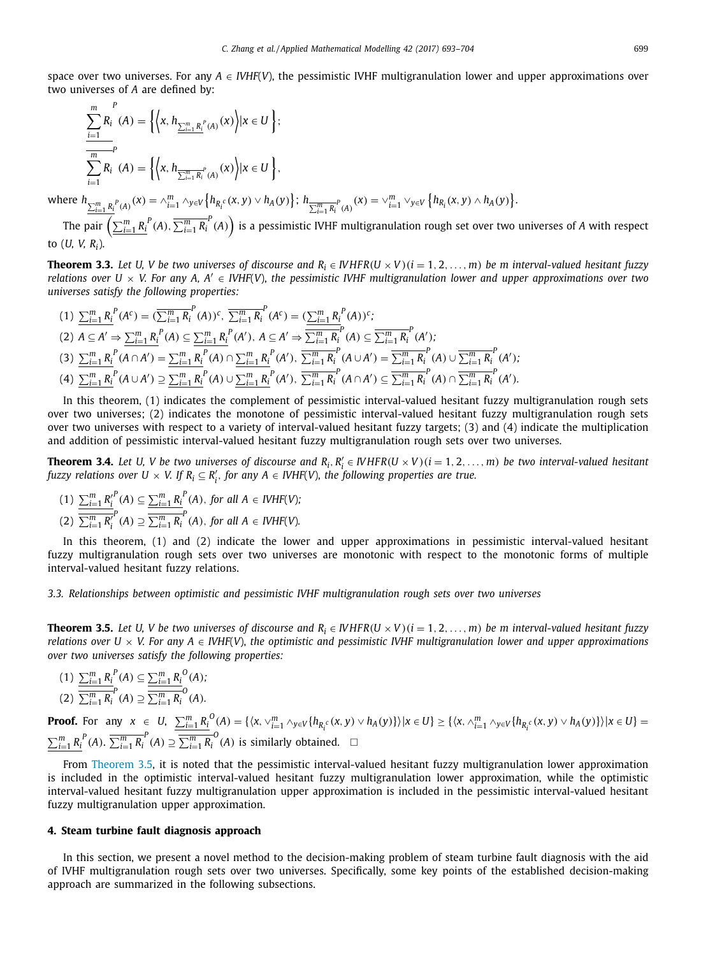<span id="page-6-0"></span>space over two universes. For any  $A \in VHF(V)$ , the pessimistic IVHF multigranulation lower and upper approximations over two universes of *A* are defined by:

$$
\sum_{i=1}^{m} \frac{R_i^P(A)}{R_i(A)} = \left\{ \left\langle x, h_{\frac{\sum_{i=1}^{m} R_i^P(A)}{R_i(A)}}(x) \right\rangle | x \in U \right\};
$$
\n
$$
\sum_{i=1}^{m} R_i^P(A) = \left\{ \left\langle x, h_{\frac{\sum_{i=1}^{m} R_i^P(A)}{R_i(A)}}(x) \right\rangle | x \in U \right\},
$$

where  $h_{\sum_{i=1}^{m} R_i}^P(A_i)}(x) = \lambda_{i=1}^m \wedge_{y \in V} \left\{ h_{R_i^C}(x, y) \vee h_A(y) \right\}; h_{\sum_{i=1}^m R_i^P(A_i)}(x) = \vee_{i=1}^m \vee_{y \in V} \left\{ h_{R_i}(x, y) \wedge h_A(y) \right\}.$ 

The pair  $\left(\sum_{i=1}^mR_i^{\ P}(A),\overline{\sum_{i=1}^mR_i}^P(A)\right)$  is a pessimistic IVHF multigranulation rough set over two universes of *A* with respect to (*U, V, Ri*).

**Theorem 3.3.** Let U, V be two universes of discourse and  $R_i \in IVHFR(U \times V)(i = 1, 2, ..., m)$  be m interval-valued hesitant fuzzy relations over U  $\times$  V. For any A, A'  $\in$  IVHF(V), the pessimistic IVHF multigranulation lower and upper approximations over two *universes satisfy the following properties:*

$$
(1) \sum_{i=1}^{m} {R_i}^P (A^c) = (\overline{\sum_{i=1}^{m} R_i}^P (A))^c, \ \overline{\sum_{i=1}^{m} R_i}^P (A^c) = (\underline{\sum_{i=1}^{m} R_i}^P (A))^c;
$$
\n
$$
(2) A \subseteq A' \Rightarrow \sum_{i=1}^{m} {R_i}^P (A) \subseteq \underline{\sum_{i=1}^{m} R_i}^P (A'), A \subseteq A' \Rightarrow \overline{\sum_{i=1}^{m} R_i}^P (A) \subseteq \overline{\sum_{i=1}^{m} R_i}^P (A');
$$
\n
$$
(3) \sum_{i=1}^{m} {R_i}^P (A \cap A') = \underline{\sum_{i=1}^{m} R_i}^P (A) \cap \underline{\sum_{i=1}^{m} R_i}^P (A'), \ \overline{\sum_{i=1}^{m} R_i}^P (A \cup A') = \overline{\sum_{i=1}^{m} R_i}^P (A) \cup \overline{\sum_{i=1}^{m} R_i}^P (A');
$$
\n
$$
(4) \sum_{i=1}^{m} {R_i}^P (A \cup A') \supseteq \underline{\sum_{i=1}^{m} R_i}^P (A) \cup \underline{\sum_{i=1}^{m} R_i}^P (A'), \ \overline{\sum_{i=1}^{m} R_i}^P (A \cap A') \subseteq \overline{\sum_{i=1}^{m} R_i}^P (A) \cap \overline{\sum_{i=1}^{m} R_i}^P (A').
$$

In this theorem, (1) indicates the complement of pessimistic interval-valued hesitant fuzzy multigranulation rough sets over two universes; (2) indicates the monotone of pessimistic interval-valued hesitant fuzzy multigranulation rough sets over two universes with respect to a variety of interval-valued hesitant fuzzy targets; (3) and (4) indicate the multiplication and addition of pessimistic interval-valued hesitant fuzzy multigranulation rough sets over two universes.

**Theorem 3.4.** Let U, V be two universes of discourse and  $R_i, R'_i \in \text{WHFR}(U \times V)$  ( $i = 1, 2, ..., m$ ) be two interval-valued hesitant fuzzy relations over  $U \times V$ . If  $R_i \subseteq R'_i$ , for any  $A \in I\!V\!H\!F(V)$ , the following properties are true.

$$
(1) \frac{\sum_{i=1}^{m} R_{i}^{\prime P}(A) \subseteq \sum_{i=1}^{m} R_{i}^P(A), \text{ for all } A \in I V H F(V);}{\sum_{i=1}^{m} R_{i}^P(A) \supseteq \frac{P}{\sum_{i=1}^{m} R_{i}^P}(A), \text{ for all } A \in I V H F(V).
$$

In this theorem, (1) and (2) indicate the lower and upper approximations in pessimistic interval-valued hesitant fuzzy multigranulation rough sets over two universes are monotonic with respect to the monotonic forms of multiple interval-valued hesitant fuzzy relations.

*3.3. Relationships between optimistic and pessimistic IVHF multigranulation rough sets over two universes*

**Theorem 3.5.** Let U, V be two universes of discourse and  $R_i \in IVHFR(U \times V)(i = 1, 2, ..., m)$  be m interval-valued hesitant fuzzy relations over  $U \times V$ . For any  $A \in IVIF(V)$ , the optimistic and pessimistic IVHF multigranulation lower and upper approximations *over two universes satisfy the following properties:*

$$
(1) \frac{\sum_{i=1}^{m} R_i^{P}(A) \subseteq \sum_{i=1}^{m} R_i^{O}(A);}{\sum_{i=1}^{m} R_i^{O}(A) \supseteq \frac{\sum_{i=1}^{m} R_i^{O}(A)}{\sum_{i=1}^{m} R_i^{O}(A)}.
$$

**Proof.** For any  $x \in U$ ,  $\sum_{i=1}^{m} R_i^0(A) = \{ \langle x, \vee_{i=1}^{m} \wedge_{y \in V} \{ h_{R_i^c}(x, y) \vee h_A(y) \} \rangle | x \in U \} \ge \{ \langle x, \wedge_{i=1}^{m} \wedge_{y \in V} \{ h_{R_i^c}(x, y) \vee h_A(y) \} \rangle | x \in U \} =$  $\sum_{i=1}^{m} R_i^P(A)$ .  $\overline{\sum_{i=1}^{m} R_i^P}(A) \supseteq \overline{\sum_{i=1}^{m} R_i^O}(A)$  is similarly obtained.  $\Box$ 

From Theorem 3.5, it is noted that the pessimistic interval-valued hesitant fuzzy multigranulation lower approximation is included in the optimistic interval-valued hesitant fuzzy multigranulation lower approximation, while the optimistic interval-valued hesitant fuzzy multigranulation upper approximation is included in the pessimistic interval-valued hesitant fuzzy multigranulation upper approximation.

### **4. Steam turbine fault diagnosis approach**

In this section, we present a novel method to the decision-making problem of steam turbine fault diagnosis with the aid of IVHF multigranulation rough sets over two universes. Specifically, some key points of the established decision-making approach are summarized in the following subsections.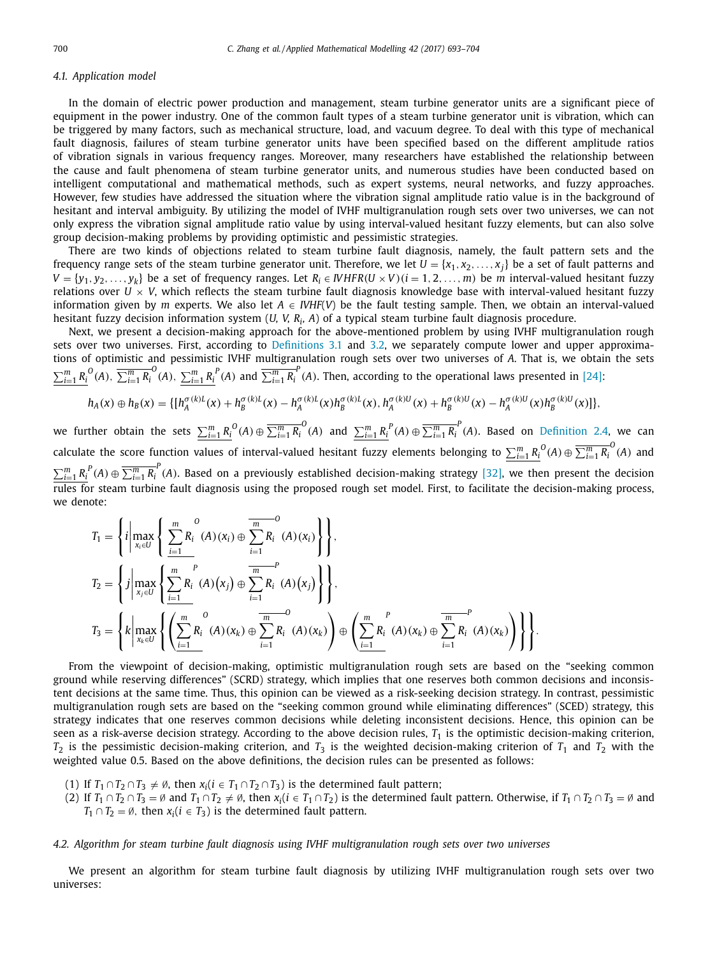# *4.1. Application model*

In the domain of electric power production and management, steam turbine generator units are a significant piece of equipment in the power industry. One of the common fault types of a steam turbine generator unit is vibration, which can be triggered by many factors, such as mechanical structure, load, and vacuum degree. To deal with this type of mechanical fault diagnosis, failures of steam turbine generator units have been specified based on the different amplitude ratios of vibration signals in various frequency ranges. Moreover, many researchers have established the relationship between the cause and fault phenomena of steam turbine generator units, and numerous studies have been conducted based on intelligent computational and mathematical methods, such as expert systems, neural networks, and fuzzy approaches. However, few studies have addressed the situation where the vibration signal amplitude ratio value is in the background of hesitant and interval ambiguity. By utilizing the model of IVHF multigranulation rough sets over two universes, we can not only express the vibration signal amplitude ratio value by using interval-valued hesitant fuzzy elements, but can also solve group decision-making problems by providing optimistic and pessimistic strategies.

There are two kinds of objections related to steam turbine fault diagnosis, namely, the fault pattern sets and the frequency range sets of the steam turbine generator unit. Therefore, we let  $U = \{x_1, x_2, \ldots, x_j\}$  be a set of fault patterns and  $V = \{y_1, y_2, \ldots, y_k\}$  be a set of frequency ranges. Let  $R_i \in \textit{IVHFR}(U \times V)(i = 1, 2, \ldots, m)$  be *m* interval-valued hesitant fuzzy relations over  $U \times V$ , which reflects the steam turbine fault diagnosis knowledge base with interval-valued hesitant fuzzy information given by *m* experts. We also let  $A \in IVHF(V)$  be the fault testing sample. Then, we obtain an interval-valued hesitant fuzzy decision information system (*U, V, Ri, A*) of a typical steam turbine fault diagnosis procedure.

Next, we present a decision-making approach for the above-mentioned problem by using IVHF multigranulation rough sets over two universes. First, according to [Definitions](#page-4-0) 3.1 and [3.2,](#page-5-0) we separately compute lower and upper approximations of optimistic and pessimistic IVHF multigranulation rough sets over two universes of *A*. That is, we obtain the sets  $\sum_{i=1}^m R_i^{\,0}(A)$ ,  $\overline{\sum_{i=1}^m R_i^{\,0}}(A)$ ,  $\sum_{i=1}^m R_i^{\,P}(A)$  and  $\overline{\sum_{i=1}^m R_i^{\,P}}(A)$ . Then, according to the operational laws presented in [\[24\]:](#page-11-0)

$$
h_A(x) \oplus h_B(x) = \{[h_A^{\sigma(k)L}(x) + h_B^{\sigma(k)L}(x) - h_A^{\sigma(k)L}(x)h_B^{\sigma(k)L}(x), h_A^{\sigma(k)U}(x) + h_B^{\sigma(k)U}(x) - h_A^{\sigma(k)U}(x)h_B^{\sigma(k)U}(x)]\},\
$$

we further obtain the sets  $\sum_{i=1}^m R_i^O(A) \oplus \overline{\sum_{i=1}^m R_i^O}(A)$  and  $\sum_{i=1}^m R_i^P(A) \oplus \overline{\sum_{i=1}^m R_i^O}(A)$ . Based on [Definition](#page-3-0) 2.4, we can calculate the score function values of interval-valued hesitant fuzzy elements belonging to  $\sum_{i=1}^mR_i^{\,O}(A)\oplus\overline{\sum_{i=1}^mR_i}^O(A)$  and  $\sum_{i=1}^m R_i^P(A) \oplus \overline{\sum_{i=1}^m R_i^P}(A)$ . Based on a previously established decision-making strategy [\[32\],](#page-11-0) we then present the decision rules for steam turbine fault diagnosis using the proposed rough set model. First, to facilitate the decision-making process, we denote:

$$
T_{1} = \left\{ i \left| \max_{x_{i} \in U} \left\{ \sum_{i=1}^{m} R_{i}^{O}(A)(x_{i}) \oplus \sum_{i=1}^{m} R_{i}^{O}(A)(x_{i}) \right\} \right\},\right.\\
$$
  
\n
$$
T_{2} = \left\{ i \left| \max_{x_{j} \in U} \left\{ \sum_{i=1}^{m} R_{i}^{O}(A)(x_{j}) \oplus \sum_{i=1}^{m} R_{i}^{O}(A)(x_{j}) \right\} \right\},\right.\\
$$
  
\n
$$
T_{3} = \left\{ k \left| \max_{x_{k} \in U} \left\{ \left( \sum_{i=1}^{m} R_{i}^{O}(A)(x_{k}) \oplus \sum_{i=1}^{m} R_{i}^{O}(A)(x_{k}) \right) \oplus \left( \sum_{i=1}^{m} R_{i}^{O}(A)(x_{k}) \oplus \sum_{i=1}^{m} R_{i}^{O}(A)(x_{k}) \right) \right\} \right\}.
$$

From the viewpoint of decision-making, optimistic multigranulation rough sets are based on the "seeking common ground while reserving differences" (SCRD) strategy, which implies that one reserves both common decisions and inconsistent decisions at the same time. Thus, this opinion can be viewed as a risk-seeking decision strategy. In contrast, pessimistic multigranulation rough sets are based on the "seeking common ground while eliminating differences" (SCED) strategy, this strategy indicates that one reserves common decisions while deleting inconsistent decisions. Hence, this opinion can be seen as a risk-averse decision strategy. According to the above decision rules,  $T_1$  is the optimistic decision-making criterion,  $T_2$  is the pessimistic decision-making criterion, and  $T_3$  is the weighted decision-making criterion of  $T_1$  and  $T_2$  with the weighted value 0.5. Based on the above definitions, the decision rules can be presented as follows:

- (1) If  $T_1 \cap T_2 \cap T_3 \neq \emptyset$ , then  $x_i (i \in T_1 \cap T_2 \cap T_3)$  is the determined fault pattern;
- (2) If  $T_1 \cap T_2 \cap T_3 = \emptyset$  and  $T_1 \cap T_2 \neq \emptyset$ , then  $x_i (i \in T_1 \cap T_2)$  is the determined fault pattern. Otherwise, if  $T_1 \cap T_2 \cap T_3 = \emptyset$  and  $T_1 \cap T_2 = \emptyset$ , then  $x_i (i \in T_3)$  is the determined fault pattern.

# *4.2. Algorithm for steam turbine fault diagnosis using IVHF multigranulation rough sets over two universes*

We present an algorithm for steam turbine fault diagnosis by utilizing IVHF multigranulation rough sets over two universes: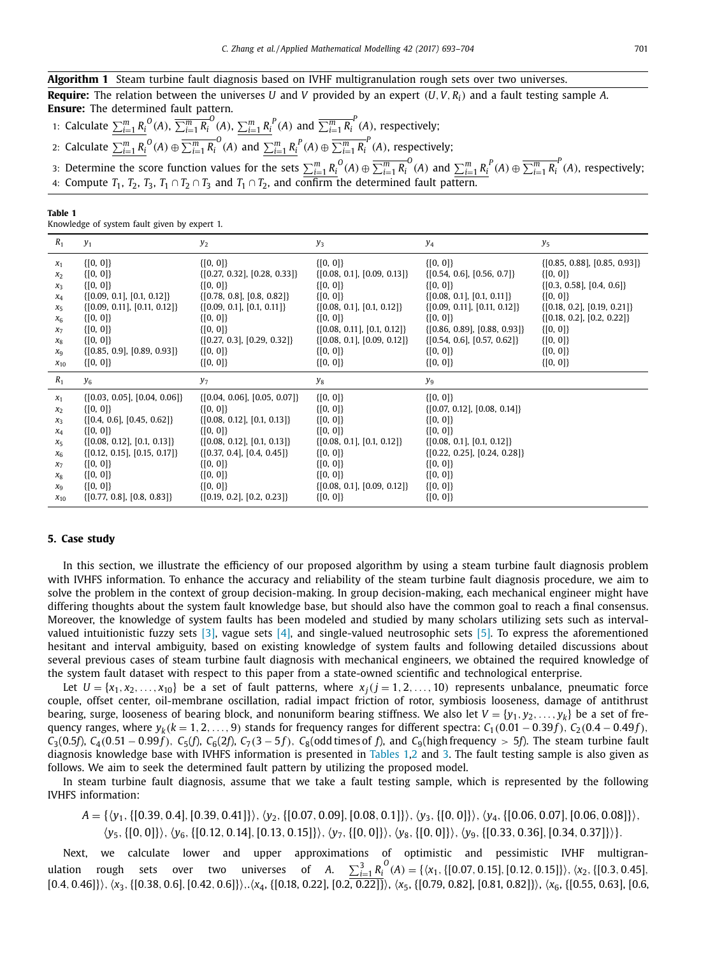<span id="page-8-0"></span>**Algorithm 1** Steam turbine fault diagnosis based on IVHF multigranulation rough sets over two universes. **Require:** The relation between the universes *U* and *V* provided by an expert  $(U, V, R<sub>i</sub>)$  and a fault testing sample *A*. **Ensure:** The determined fault pattern.

1: Calculate  $\sum_{i=1}^m R_i^0(A)$ ,  $\overline{\sum_{i=1}^m R_i}^0(A)$ ,  $\sum_{i=1}^m R_i^P(A)$  and  $\overline{\sum_{i=1}^m R_i}^P(A)$ , respectively;

2: Calculate  $\sum_{i=1}^m R_i^{\;0}(A)\oplus \overline{\sum_{i=1}^m R_i}^0(A)$  and  $\sum_{i=1}^m R_i^{\;P}(A)\oplus \overline{\sum_{i=1}^m R_i}^P(A)$ , respectively;

3: Determine the score function values for the sets  $\sum_{i=1}^{m} R_i^{\,O}(A) \oplus \overline{\sum_{i=1}^{m} R_i^{\,O}}(A)$  and  $\sum_{i=1}^{m} R_i^{\,P}(A) \oplus \overline{\sum_{i=1}^{m} R_i^{\,P}}(A)$ , respectively; 4: Compute  $T_1$ ,  $T_2$ ,  $T_3$ ,  $T_1 \cap T_2 \cap T_3$  and  $T_1 \cap T_2$ , and confirm the determined fault pattern.

**Table 1**

Knowledge of system fault given by expert 1.

| $R_1$                                                                                                | $y_1$                                                                                                                                                                                                                               | $y_2$                                                                                                                                                                                                                                               | y <sub>3</sub>                                                                                                                                                                                                                                      | $y_4$                                                                                                                                                                                                                                                                 | $y_5$                                                                                                                                                                                                                                              |
|------------------------------------------------------------------------------------------------------|-------------------------------------------------------------------------------------------------------------------------------------------------------------------------------------------------------------------------------------|-----------------------------------------------------------------------------------------------------------------------------------------------------------------------------------------------------------------------------------------------------|-----------------------------------------------------------------------------------------------------------------------------------------------------------------------------------------------------------------------------------------------------|-----------------------------------------------------------------------------------------------------------------------------------------------------------------------------------------------------------------------------------------------------------------------|----------------------------------------------------------------------------------------------------------------------------------------------------------------------------------------------------------------------------------------------------|
| $x_1$<br>$x_2$<br>$x_3$<br>$x_4$<br>$x_{5}$<br>$x_6$<br>$x_7$<br>$X_8$<br>x <sub>9</sub><br>$x_{10}$ | $\{ [0, 0] \}$<br>$\{ [0, 0] \}$<br>$\{ [0, 0] \}$<br>$\{[0.09, 0.1], [0.1, 0.12]\}$<br>$\{[0.09, 0.11], [0.11, 0.12]\}$<br>$\{ [0, 0] \}$<br>$\{ [0, 0] \}$<br>$\{ [0, 0] \}$<br>$\{[0.85, 0.9], [0.89, 0.93]\}$<br>$\{ [0, 0] \}$ | $\{ [0, 0] \}$<br>$\{[0.27, 0.32], [0.28, 0.33]\}$<br>$\{ [0, 0] \}$<br>$\{[0.78, 0.8], [0.8, 0.82]\}$<br>$\{[0.09, 0.1], [0.1, 0.11]\}$<br>$\{ [0, 0] \}$<br>$\{ [0, 0] \}$<br>$\{[0.27, 0.3], [0.29, 0.32]\}$<br>$\{ [0, 0] \}$<br>$\{ [0, 0] \}$ | $\{ [0, 0] \}$<br>$\{[0.08, 0.1], [0.09, 0.13]\}$<br>$\{ [0, 0] \}$<br>$\{ [0, 0] \}$<br>$\{[0.08, 0.1], [0.1, 0.12]\}$<br>$\{ [0, 0] \}$<br>$\{[0.08, 0.11], [0.1, 0.12]\}$<br>$\{[0.08, 0.1], [0.09, 0.12]\}$<br>$\{ [0, 0] \}$<br>$\{ [0, 0] \}$ | $\{ [0, 0] \}$<br>$\{[0.54, 0.6], [0.56, 0.7]\}$<br>$\{ [0, 0] \}$<br>$\{[0.08, 0.1], [0.1, 0.11]\}$<br>$\{[0.09, 0.11], [0.11, 0.12]\}$<br>$\{ [0, 0] \}$<br>$\{[0.86, 0.89], [0.88, 0.93]\}$<br>$\{[0.54, 0.6], [0.57, 0.62]\}$<br>$\{ [0, 0] \}$<br>$\{ [0, 0] \}$ | $\{[0.85, 0.88], [0.85, 0.93]\}$<br>$\{ [0, 0] \}$<br>$\{[0.3, 0.58], [0.4, 0.6]\}$<br>$\{ [0, 0] \}$<br>$\{[0.18, 0.2], [0.19, 0.21]\}$<br>$\{[0.18, 0.2], [0.2, 0.22]\}$<br>$\{ [0, 0] \}$<br>$\{ [0, 0] \}$<br>$\{ [0, 0] \}$<br>$\{ [0, 0] \}$ |
| $R_1$                                                                                                | $y_6$                                                                                                                                                                                                                               | $y_7$                                                                                                                                                                                                                                               | y <sub>8</sub>                                                                                                                                                                                                                                      | y <sub>9</sub>                                                                                                                                                                                                                                                        |                                                                                                                                                                                                                                                    |
| $x_1$<br>$x_2$<br>$x_3$<br>$x_4$<br>$x_5$<br>$x_6$<br>$x_7$<br>$\chi_{8}$<br>x <sub>9</sub>          | $\{[0.03, 0.05], [0.04, 0.06]\}$<br>$\{ [0, 0] \}$<br>$\{[0.4, 0.6], [0.45, 0.62]\}$<br>$\{ [0, 0] \}$<br>$\{[0.08, 0.12], [0.1, 0.13]\}$<br>$\{[0.12, 0.15], [0.15, 0.17]\}$<br>$\{ [0, 0] \}$<br>$\{ [0, 0] \}$<br>$\{ [0, 0] \}$ | $\{[0.04, 0.06], [0.05, 0.07]\}$<br>$\{ [0, 0] \}$<br>$\{[0.08, 0.12], [0.1, 0.13]\}$<br>$\{ [0, 0] \}$<br>$\{[0.08, 0.12], [0.1, 0.13]\}$<br>$\{[0.37, 0.4], [0.4, 0.45]\}$<br>$\{ [0, 0] \}$<br>$\{ [0, 0] \}$                                    | $\{ [0, 0] \}$<br>$\{ [0, 0] \}$<br>$\{ [0, 0] \}$<br>$\{ [0, 0] \}$<br>$\{[0.08, 0.1], [0.1, 0.12]\}$<br>$\{ [0, 0] \}$<br>$\{ [0, 0] \}$<br>$\{ [0, 0] \}$<br>$\{[0.08, 0.1], [0.09, 0.12]\}$                                                     | $\{ [0, 0] \}$<br>$\{[0.07, 0.12], [0.08, 0.14]\}$<br>$\{ [0, 0] \}$<br>$\{ [0, 0] \}$<br>$\{[0.08, 0.1], [0.1, 0.12]\}$<br>$\{[0.22, 0.25], [0.24, 0.28]\}$<br>$\{ [0, 0] \}$<br>$\{ [0, 0] \}$<br>$\{ [0, 0] \}$                                                    |                                                                                                                                                                                                                                                    |

# **5. Case study**

In this section, we illustrate the efficiency of our proposed algorithm by using a steam turbine fault diagnosis problem with IVHFS information. To enhance the accuracy and reliability of the steam turbine fault diagnosis procedure, we aim to solve the problem in the context of group decision-making. In group decision-making, each mechanical engineer might have differing thoughts about the system fault knowledge base, but should also have the common goal to reach a final consensus. Moreover, the knowledge of system faults has been modeled and studied by many scholars utilizing sets such as intervalvalued intuitionistic fuzzy sets  $[3]$ , vague sets  $[4]$ , and single-valued neutrosophic sets  $[5]$ . To express the aforementioned hesitant and interval ambiguity, based on existing knowledge of system faults and following detailed discussions about several previous cases of steam turbine fault diagnosis with mechanical engineers, we obtained the required knowledge of the system fault dataset with respect to this paper from a state-owned scientific and technological enterprise.

Let  $U = \{x_1, x_2, \ldots, x_{10}\}$  be a set of fault patterns, where  $x_i$  ( $j = 1, 2, \ldots, 10$ ) represents unbalance, pneumatic force couple, offset center, oil-membrane oscillation, radial impact friction of rotor, symbiosis looseness, damage of antithrust bearing, surge, looseness of bearing block, and nonuniform bearing stiffness. We also let  $V = \{y_1, y_2, \ldots, y_k\}$  be a set of frequency ranges, where  $y_k(k = 1, 2, \ldots, 9)$  stands for frequency ranges for different spectra:  $C_1(0.01 - 0.39f)$ ,  $C_2(0.4 - 0.49f)$ ,  $C_3(0.5f)$ ,  $C_4(0.51 - 0.99f)$ ,  $C_5(f)$ ,  $C_6(2f)$ ,  $C_7(3 - 5f)$ ,  $C_8(odd times of f)$ , and  $C_9(high frequency > 5f)$ . The steam turbine fault diagnosis knowledge base with IVHFS information is presented in Tables 1[,2](#page-9-0) and [3.](#page-9-0) The fault testing sample is also given as follows. We aim to seek the determined fault pattern by utilizing the proposed model.

In steam turbine fault diagnosis, assume that we take a fault testing sample, which is represented by the following IVHFS information:

*A* = {*y*1,{[0.39, 0.4],[0.39, 0.41]},*y*2,{[0.07, 0.09],[0.08, 0.1]},*y*3,{[0, 0]},*y*4,{[0.06, 0.07],[0.06, 0.08]},

*y*5,{[0, 0]},*y*6,{[0.12, 0.14],[0.13, 0.15]},*y*7,{[0, 0]},*y*8,{[0, 0]},*y*9,{[0.33, 0.36],[0.34, 0.37]}}.

Next, we calculate lower and upper approximations of optimistic and pessimistic IVHF multigranulation rough sets over two universes of *A*.  $\sum_{i=1}^{3} R_i^O(A) = \{\langle x_1, \{[0.07, 0.15], [0.12, 0.15]\}\rangle, \langle x_2, \{[0.3, 0.45],$ [0.4, 0.46]},*x*3,{[0.38, 0.6],[0.42, 0.6]},.*x*4, {[0.18, 0.22], [0.2, 0.22]}, *x*5, {[0.79, 0.82], [0.81, 0.82]}, *x*6, {[0.55, 0.63], [0.6,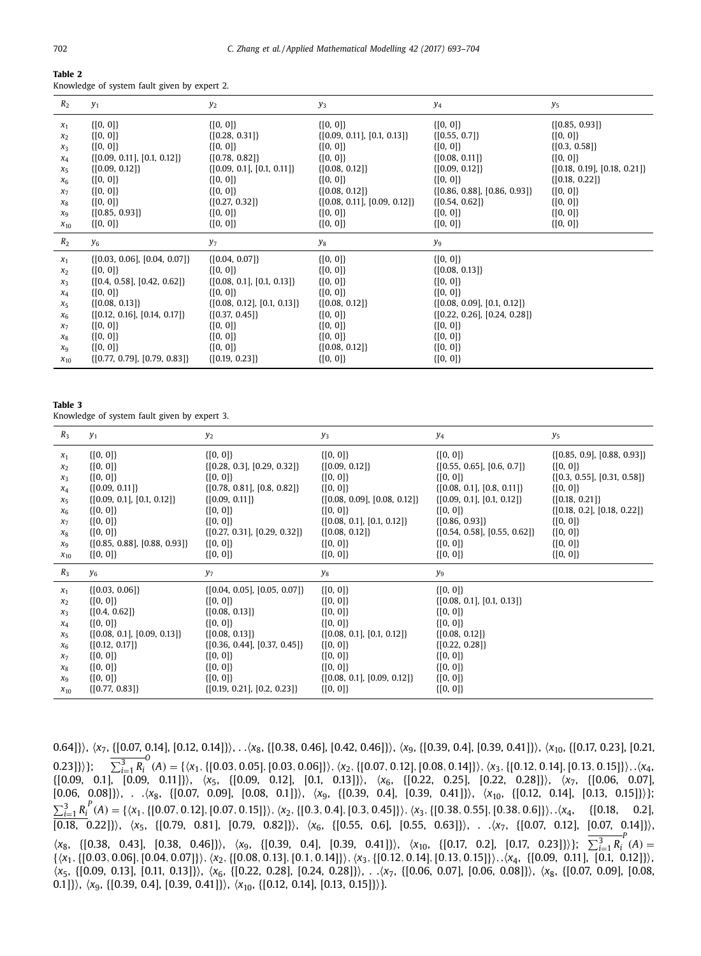<span id="page-9-0"></span>

| Table 2                                      |  |  |  |
|----------------------------------------------|--|--|--|
| Knowledge of system fault given by expert 2. |  |  |  |

| $R_2$          | $y_1$                            | $y_2$                           | $y_3$                            | $y_4$                            | $y_5$                            |
|----------------|----------------------------------|---------------------------------|----------------------------------|----------------------------------|----------------------------------|
| $x_1$          | $\{ [0, 0] \}$                   | $\{ [0, 0] \}$                  | $\{ [0, 0] \}$                   | $\{ [0, 0] \}$                   | $\{[0.85, 0.93]\}$               |
| $x_2$          | $\{ [0, 0] \}$                   | $\{[0.28, 0.31]\}$              | $\{[0.09, 0.11], [0.1, 0.13]\}$  | $\{[0.55, 0.7]\}$                | $\{ [0, 0] \}$                   |
| $\chi_3$       | $\{ [0, 0] \}$                   | $\{ [0, 0] \}$                  | $\{ [0, 0] \}$                   | $\{ [0, 0] \}$                   | $\{[0.3, 0.58]\}$                |
| $x_4$          | $\{[0.09, 0.11], [0.1, 0.12]\}$  | $\{[0.78, 0.82]\}$              | $\{ [0, 0] \}$                   | $\{[0.08, 0.11]\}$               | $\{ [0, 0] \}$                   |
| $x_5$          | $\{[0.09, 0.12]\}$               | $\{[0.09, 0.1], [0.1, 0.11]\}$  | $\{[0.08, 0.12]\}$               | $\{[0.09, 0.12]\}$               | $\{[0.18, 0.19], [0.18, 0.21]\}$ |
| $x_6$          | $\{ [0, 0] \}$                   | $\{ [0, 0] \}$                  | $\{ [0, 0] \}$                   | $\{ [0, 0] \}$                   | $\{[0.18, 0.22]\}$               |
| $x_7$          | $\{ [0, 0] \}$                   | $\{ [0, 0] \}$                  | $\{[0.08, 0.12]\}$               | $\{[0.86, 0.88], [0.86, 0.93]\}$ | $\{[0, 0]\}$                     |
| $\chi_{8}$     | $\{ [0, 0] \}$                   | $\{[0.27, 0.32]\}$              | $\{[0.08, 0.11], [0.09, 0.12]\}$ | $\{[0.54, 0.62]\}$               | $\{ [0, 0] \}$                   |
| x <sub>9</sub> | $\{[0.85, 0.93]\}$               | $\{ [0, 0] \}$                  | $\{ [0, 0] \}$                   | $\{ [0, 0] \}$                   | $\{[0, 0]\}$                     |
| $x_{10}$       | $\{ [0, 0] \}$                   | $\{ [0, 0] \}$                  | $\{ [0, 0] \}$                   | $\{ [0, 0] \}$                   | $\{ [0, 0] \}$                   |
| $R_2$          | $y_6$                            | $y_7$                           | $y_8$                            | y <sub>9</sub>                   |                                  |
| $x_1$          | $\{[0.03, 0.06], [0.04, 0.07]\}$ | $\{[0.04, 0.07]\}$              | $\{ [0, 0] \}$                   | $\{ [0, 0] \}$                   |                                  |
| $x_2$          | $\{ [0, 0] \}$                   | $\{ [0, 0] \}$                  | $\{ [0, 0] \}$                   | $\{[0.08, 0.13]\}$               |                                  |
| $x_3$          | $\{[0.4, 0.58], [0.42, 0.62]\}$  | $\{[0.08, 0.1], [0.1, 0.13]\}$  | $\{ [0, 0] \}$                   | $\{ [0, 0] \}$                   |                                  |
| $x_4$          | $\{ [0, 0] \}$                   | $\{ [0, 0] \}$                  | $\{ [0, 0] \}$                   | $\{ [0, 0] \}$                   |                                  |
| $x_{5}$        | $\{[0.08, 0.13]\}$               | $\{[0.08, 0.12], [0.1, 0.13]\}$ | $\{[0.08, 0.12]\}$               | $\{[0.08, 0.09], [0.1, 0.12]\}$  |                                  |
| $X_6$          | $\{[0.12, 0.16], [0.14, 0.17]\}$ | $\{[0.37, 0.45]\}$              | $\{ [0, 0] \}$                   | $\{[0.22, 0.26], [0.24, 0.28]\}$ |                                  |
| $x_7$          | $\{ [0, 0] \}$                   | $\{ [0, 0] \}$                  | $\{ [0, 0] \}$                   | $\{ [0, 0] \}$                   |                                  |
| $X_8$          | $\{ [0, 0] \}$                   | $\{ [0, 0] \}$                  | $\{ [0, 0] \}$                   | $\{ [0, 0] \}$                   |                                  |
| $x_9$          | $\{ [0, 0] \}$                   | $\{ [0, 0] \}$                  | $\{[0.08, 0.12]\}$               | $\{[0, 0]\}$                     |                                  |
| $x_{10}$       | $\{[0.77, 0.79], [0.79, 0.83]\}$ | $\{[0.19, 0.23]\}$              | $\{ [0, 0] \}$                   | $\{ [0, 0] \}$                   |                                  |

### **Table 3**

Knowledge of system fault given by expert 3.

| $R_3$          | $y_1$                                | $y_2$                                             | $y_3$                                             | $y_4$                            | $y_5$                           |
|----------------|--------------------------------------|---------------------------------------------------|---------------------------------------------------|----------------------------------|---------------------------------|
| $x_1$          | $\{ [0, 0] \}$                       | $\{ [0, 0] \}$                                    | $\{ [0, 0] \}$                                    | $\{ [0, 0] \}$                   | $\{[0.85, 0.9], [0.88, 0.93]\}$ |
| $x_2$          | $\{ [0, 0] \}$                       | $\{[0.28, 0.3], [0.29, 0.32]\}$                   | $\{[0.09, 0.12]\}$                                | $\{[0.55, 0.65], [0.6, 0.7]\}$   | $\{ [0, 0] \}$                  |
| $\chi_3$       | $\{ [0, 0] \}$                       | $\{ [0, 0] \}$                                    | $\{ [0, 0] \}$                                    | $\{ [0, 0] \}$                   | $\{[0.3, 0.55], [0.31, 0.58]\}$ |
| $x_4$          | $\{[0.09, 0.11]\}$                   | $\{[0.78, 0.81], [0.8, 0.82]\}$                   | $\{ [0, 0] \}$                                    | $\{[0.08, 0.1], [0.8, 0.11]\}$   | $\{ [0, 0] \}$                  |
| $x_5$          | $\{[0.09, 0.1], [0.1, 0.12]\}$       | $\{[0.09, 0.11]\}$                                | $\{[0.08, 0.09], [0.08, 0.12]\}$                  | $\{[0.09, 0.1], [0.1, 0.12]\}$   | $\{[0.18, 0.21]\}$              |
| $x_6$          | $\{ [0, 0] \}$                       | $\{ [0, 0] \}$                                    | $\{ [0, 0] \}$                                    | $\{ [0, 0] \}$                   | $\{[0.18, 0.2], [0.18, 0.22]\}$ |
| $x_7$          | $\{ [0, 0] \}$                       | $\{ [0, 0] \}$                                    | $\{[0.08, 0.1], [0.1, 0.12]\}$                    | $\{[0.86, 0.93]\}$               | $\{ [0, 0] \}$                  |
| $x_8$          | $\{ [0, 0] \}$                       | $\{[0.27, 0.31], [0.29, 0.32]\}$                  | $\{[0.08, 0.12]\}$                                | $\{[0.54, 0.58], [0.55, 0.62]\}$ | $\{ [0, 0] \}$                  |
| x <sub>9</sub> | $\{[0.85, 0.88], [0.88, 0.93]\}$     | $\{ [0, 0] \}$                                    | $\{ [0, 0] \}$                                    | $\{ [0, 0] \}$                   | $\{ [0, 0] \}$                  |
| $x_{10}$       | $\{ [0, 0] \}$                       | $\{ [0, 0] \}$                                    | $\{ [0, 0] \}$                                    | $\{ [0, 0] \}$                   | $\{ [0, 0] \}$                  |
|                |                                      |                                                   |                                                   |                                  |                                 |
| $R_3$          | $y_6$                                | $y_7$                                             | y <sub>8</sub>                                    | y9                               |                                 |
| $x_1$          | $\{[0.03, 0.06]\}$                   | $\{[0.04, 0.05], [0.05, 0.07]\}$                  | $\{ [0, 0] \}$                                    | $\{ [0, 0] \}$                   |                                 |
| $x_2$          | $\{ [0, 0] \}$                       | $\{ [0, 0] \}$                                    | $\{ [0, 0] \}$                                    | $\{[0.08, 0.1], [0.1, 0.13]\}$   |                                 |
| $x_3$          | $\{[0.4, 0.62]\}$                    | $\{ [0.08, 0.13] \}$                              | $\{[0, 0]\}$                                      | $\{ [0, 0] \}$                   |                                 |
| $x_4$          | $\{ [0, 0] \}$                       | $\{ [0, 0] \}$                                    | $\{ [0, 0] \}$                                    | $\{ [0, 0] \}$                   |                                 |
| $x_{5}$        | $\{[0.08, 0.1], [0.09, 0.13]\}$      | $\{[0.08, 0.13]\}$                                | $\{[0.08, 0.1], [0.1, 0.12]\}$                    | $\{[0.08, 0.12]\}$               |                                 |
| $X_6$          | $\{[0.12, 0.17]\}$                   | $\{[0.36, 0.44], [0.37, 0.45]\}$                  | $\{ [0, 0] \}$                                    | $\{[0.22, 0.28]\}$               |                                 |
| $x_7$          | $\{ [0, 0] \}$                       | $\{ [0, 0] \}$                                    | $\{ [0, 0] \}$                                    | $\{ [0, 0] \}$                   |                                 |
| $\chi_{8}$     | $\{ [0, 0] \}$                       | $\{ [0, 0] \}$                                    | $\{ [0, 0] \}$                                    | $\{ [0, 0] \}$                   |                                 |
| $x_9$          | $\{ [0, 0] \}$<br>$\{[0.77, 0.83]\}$ | $\{ [0, 0] \}$<br>$\{[0.19, 0.21], [0.2, 0.23]\}$ | $\{[0.08, 0.1], [0.09, 0.12]\}$<br>$\{ [0, 0] \}$ | $\{ [0, 0] \}$<br>$\{ [0, 0] \}$ |                                 |

0.64]}), *(x<sub>7</sub>*, {[0.07, 0.14], [0.12, 0.14]}), . .*(x<sub>8</sub>*, {[0.38, 0.46], [0.42, 0.46]}), *(x<sub>9</sub>*, {[0.39, 0.4], [0.39, 0.41]}), *(x<sub>10</sub>*, {[0.17, 0.23], [0.21,  $\overline{\sum_{i=1}^{3} R_i}^0(A) = \{\langle x_1, \{[0.03, 0.05], [0.03, 0.06]\}\rangle, \langle x_2, \{[0.07, 0.12], [0.08, 0.14]\}\rangle, \langle x_3, \{[0.12, 0.14], [0.13, 0.15]\}\rangle, .\langle x_4, \{[0.03, 0.05], [0.03, 0.06]\}\rangle,$ {[0.09, 0.1], [0.09, 0.11]}, *x*5, {[0.09, 0.12], [0.1, 0.13]}, *x*6, {[0.22, 0.25], [0.22, 0.28]}, *x*7, {[0.06, 0.07],  $[0.06, 0.08]$ }, . . $\langle x_8, \{[0.07, 0.09], [0.08, 0.1]\}\rangle$ ,  $\langle x_9, \{[0.39, 0.4], [0.39, 0.41]\}\rangle$ ,  $\langle x_{10}, \{[0.12, 0.14], [0.13, 0.15]\}\rangle$  $\sum_{i=1}^{3} R_i^P(A) = \{ \langle x_1, \{ [0.07, 0.12], [0.07, 0.15] \} \rangle, \langle x_2, \{ [0.3, 0.4], [0.3, 0.45] \} \rangle, \langle x_3, \{ [0.38, 0.55], [0.38, 0.6] \} \rangle, . \langle x_4, \{ [0.18, 0.2], [0.38, 0.6] \} \rangle, .$  $\overline{[0.18, 0.22]}$ },  $\langle x_5, \{[0.79, 0.81], [0.79, 0.82]\}\rangle$ ,  $\langle x_6, \{[0.55, 0.6], [0.55, 0.63]\}\rangle$ , . . $\langle x_7, \{[0.07, 0.12], [0.07, 0.14]\}\rangle$  $\langle x_8, \{ [0.38, 0.43], [0.38, 0.46] \} \rangle$ ,  $\langle x_9, \{ [0.39, 0.4], [0.39, 0.41] \} \rangle$ ,  $\langle x_{10}, \{ [0.17, 0.2], [0.17, 0.23] \} \rangle$ ;  $\overline{\sum_{i=1}^3 R_i^p}(A) =$ {*x*1,{[0.03, 0.06],[0.04, 0.07]},*x*2,{[0.08, 0.13],[0.1, 0.14]},*x*3,{[0.12, 0.14],[0.13, 0.15]},.*x*4, {[0.09, 0.11], [0.1, 0.12]}, *x*5, {[0.09, 0.13], [0.11, 0.13]}, *x*6, {[0.22, 0.28], [0.24, 0.28]}, . .*x*7, {[0.06, 0.07], [0.06, 0.08]}, *x*8, {[0.07, 0.09], [0.08, 0.1]}),  $\langle x_9, \{[0.39, 0.4], [0.39, 0.41]\}\rangle$ ,  $\langle x_{10}, \{[0.12, 0.14], [0.13, 0.15]\}\rangle$ .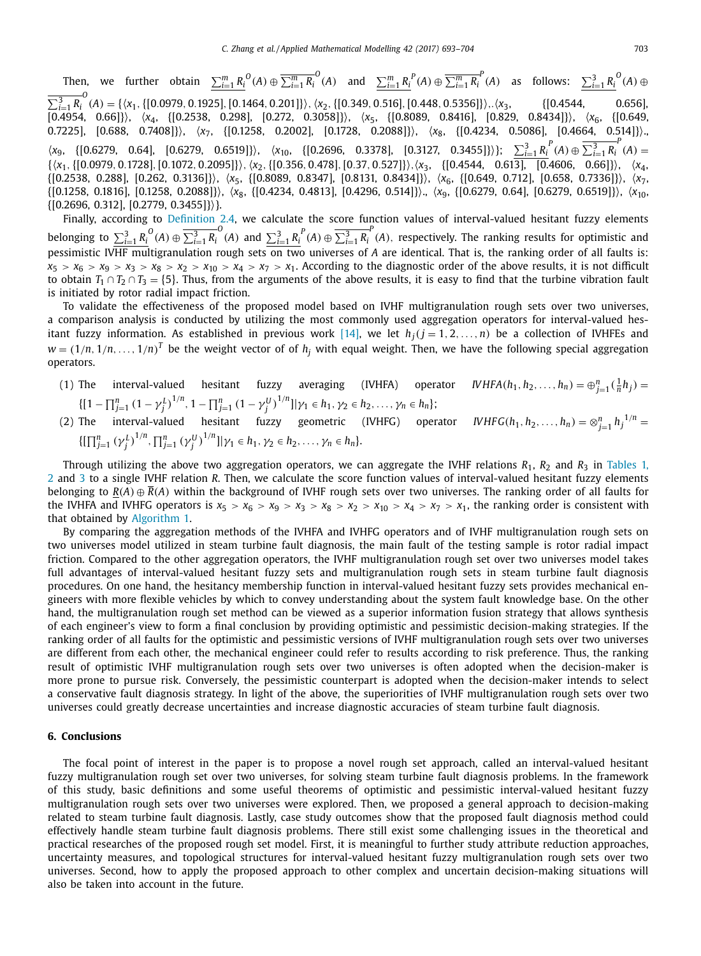<span id="page-10-0"></span>Then, we further obtain  $\sum_{i=1}^{m} R_i^{\;0}(A) \oplus \overline{\sum_{i=1}^{m} R_i^{\;0}}(A)$  and  $\sum_{i=1}^{m} R_i^{\;P}(A) \oplus \overline{\sum_{i=1}^{m} R_i^{\;P}}(A)$  as follows:  $\sum_{i=1}^{3} R_i^{\;0}(A) \oplus$  $\overline{\sum_{i=1}^{3} R_i^0}(A) = \{\langle x_1, \{[0.0979, 0.1925], [0.1464, 0.201]\}\rangle, \langle x_2, \{[0.349, 0.516], [0.448, 0.5356]\}\rangle, \langle x_3,$  {[0.4544, 0.656], [0.4954, 0.66]}, *x*4, {[0.2538, 0.298], [0.272, 0.3058]}, *x*5, {[0.8089, 0.8416], [0.829, 0.8434]}, *x*6, {[0.649, 0.7225], [0.688, 0.7408]}, *x*7, {[0.1258, 0.2002], [0.1728, 0.2088]}, *x*8, {[0.4234, 0.5086], [0.4664, 0.514]}.,  $\langle x_9, \{[0.6279, 0.64], [0.6279, 0.6519]\}\rangle$ ,  $\langle x_{10}, \{[0.2696, 0.3378], [0.3127, 0.3455]\}\rangle\};$   $\sum_{i=1}^3 R_i^P(A) \oplus \overline{\sum_{i=1}^3 R_i^P(A)} =$ {*x*1,{[0.0979, 0.1728],[0.1072, 0.2095]},*x*2,{[0.356, 0.478],[0.37, 0.527]},*x*3, {[0.4544, 0.613], [0.4606, 0.66]}, *x*4, {[0.2538, 0.288], [0.262, 0.3136]}, *x*5, {[0.8089, 0.8347], [0.8131, 0.8434]}, *x*6, {[0.649, 0.712], [0.658, 0.7336]}, *x*7, {[0.1258, 0.1816], [0.1258, 0.2088]}}, *(x<sub>8</sub>*, {[0.4234, 0.4813], [0.4296, 0.514]}}, *(x<sub>9</sub>*, {[0.6279, 0.64], [0.6279, 0.6519]}), *(x<sub>10</sub>*,  $\{[0.2696, 0.312], [0.2779, 0.3455]\}\.$ 

Finally, according to [Definition](#page-3-0) 2.4, we calculate the score function values of interval-valued hesitant fuzzy elements belonging to  $\sum_{i=1}^3 R_i^O(A) \oplus \overline{\sum_{i=1}^3 R_i^O}(A)$  and  $\sum_{i=1}^3 R_i^P(A) \oplus \overline{\sum_{i=1}^3 R_i^P}(A)$ , respectively. The ranking results for optimistic and pessimistic IVHF multigranulation rough sets on two universes of *A* are identical. That is, the ranking order of all faults is:  $x_5 > x_6 > x_9 > x_3 > x_8 > x_2 > x_{10} > x_4 > x_7 > x_1$ . According to the diagnostic order of the above results, it is not difficult to obtain  $T_1 \cap T_2 \cap T_3 = \{5\}$ . Thus, from the arguments of the above results, it is easy to find that the turbine vibration fault is initiated by rotor radial impact friction.

To validate the effectiveness of the proposed model based on IVHF multigranulation rough sets over two universes, a comparison analysis is conducted by utilizing the most commonly used aggregation operators for interval-valued hes-itant fuzzy information. As established in previous work [\[14\],](#page-11-0) we let  $h_i$ ( $j = 1, 2, ..., n$ ) be a collection of IVHFEs and  $w = (1/n, 1/n, \ldots, 1/n)^T$  be the weight vector of of  $h_j$  with equal weight. Then, we have the following special aggregation operators.

- (1) The interval-valued hesitant fuzzy averaging (IVHFA) operator *IVHFA*( $h_1, h_2, \ldots, h_n$ ) =  $\bigoplus_{j=1}^n (\frac{1}{n}h_j)$  =  $\{[1 - \prod_{j=1}^n (1 - \gamma_j^L)^{1/n}, 1 - \prod_{j=1}^n (1 - \gamma_j^U)^{1/n}] | \gamma_1 \in h_1, \gamma_2 \in h_2, \ldots, \gamma_n \in h_n\};\$
- (2) The interval-valued hesitant fuzzy geometric (IVHFG) operator  $\mathit{IVHFG}(h_1, h_2, \ldots, h_n) = \otimes_{j=1}^n h_j^{1/n} = \otimes_{j=1}^n h_j^{1/n}$  $\{[\prod_{j=1}^{n} (\gamma_j^L)^{1/n}, \prod_{j=1}^{n} (\gamma_j^U)^{1/n}]\ |\ \gamma_1 \in h_1, \gamma_2 \in h_2, \ldots, \gamma_n \in h_n\}.$

Through utilizing the above two aggregation operators, we can aggregate the IVHF relations  $R_1$ ,  $R_2$  and  $R_3$  in Tables 1, 2 and [3](#page-9-0) to a single IVHF relation *R*. Then, we calculate the score function values of [interval-valued](#page-8-0) hesitant fuzzy elements belonging to  $\underline{R}(A) \oplus R(A)$  within the background of IVHF rough sets over two universes. The ranking order of all faults for the IVHFA and IVHFG operators is  $x_5 > x_6 > x_9 > x_3 > x_8 > x_2 > x_{10} > x_4 > x_7 > x_1$ , the ranking order is consistent with that obtained by [Algorithm](#page-8-0) 1.

By comparing the aggregation methods of the IVHFA and IVHFG operators and of IVHF multigranulation rough sets on two universes model utilized in steam turbine fault diagnosis, the main fault of the testing sample is rotor radial impact friction. Compared to the other aggregation operators, the IVHF multigranulation rough set over two universes model takes full advantages of interval-valued hesitant fuzzy sets and multigranulation rough sets in steam turbine fault diagnosis procedures. On one hand, the hesitancy membership function in interval-valued hesitant fuzzy sets provides mechanical engineers with more flexible vehicles by which to convey understanding about the system fault knowledge base. On the other hand, the multigranulation rough set method can be viewed as a superior information fusion strategy that allows synthesis of each engineer's view to form a final conclusion by providing optimistic and pessimistic decision-making strategies. If the ranking order of all faults for the optimistic and pessimistic versions of IVHF multigranulation rough sets over two universes are different from each other, the mechanical engineer could refer to results according to risk preference. Thus, the ranking result of optimistic IVHF multigranulation rough sets over two universes is often adopted when the decision-maker is more prone to pursue risk. Conversely, the pessimistic counterpart is adopted when the decision-maker intends to select a conservative fault diagnosis strategy. In light of the above, the superiorities of IVHF multigranulation rough sets over two universes could greatly decrease uncertainties and increase diagnostic accuracies of steam turbine fault diagnosis.

#### **6. Conclusions**

The focal point of interest in the paper is to propose a novel rough set approach, called an interval-valued hesitant fuzzy multigranulation rough set over two universes, for solving steam turbine fault diagnosis problems. In the framework of this study, basic definitions and some useful theorems of optimistic and pessimistic interval-valued hesitant fuzzy multigranulation rough sets over two universes were explored. Then, we proposed a general approach to decision-making related to steam turbine fault diagnosis. Lastly, case study outcomes show that the proposed fault diagnosis method could effectively handle steam turbine fault diagnosis problems. There still exist some challenging issues in the theoretical and practical researches of the proposed rough set model. First, it is meaningful to further study attribute reduction approaches, uncertainty measures, and topological structures for interval-valued hesitant fuzzy multigranulation rough sets over two universes. Second, how to apply the proposed approach to other complex and uncertain decision-making situations will also be taken into account in the future.